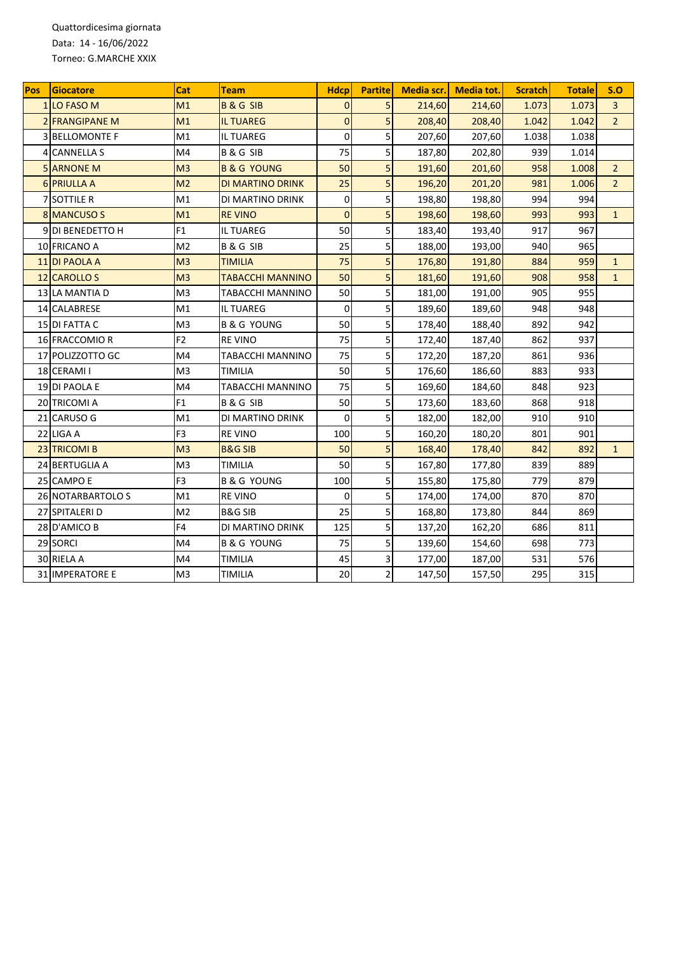Quattordicesima giornata Data: 14 - 16/06/2022 Torneo: G.MARCHE XXIX

| Pos | Giocatore             | <b>Cat</b>     | <b>Team</b>             | <b>Hdcp</b>    | <b>Partite</b> | Media scr. | Media tot. | <b>Scratch</b> | <b>Totale</b> | S.O            |
|-----|-----------------------|----------------|-------------------------|----------------|----------------|------------|------------|----------------|---------------|----------------|
|     | <b>1 LO FASO M</b>    | M1             | <b>B&amp;GSIB</b>       | $\overline{0}$ | 5              | 214,60     | 214,60     | 1.073          | 1.073         | $\overline{3}$ |
|     | 2 FRANGIPANE M        | M1             | <b>IL TUAREG</b>        | $\overline{0}$ | 5              | 208,40     | 208,40     | 1.042          | 1.042         | $\overline{2}$ |
|     | <b>3 BELLOMONTE F</b> | M1             | <b>IL TUAREG</b>        | $\mathbf 0$    | 5              | 207,60     | 207,60     | 1.038          | 1.038         |                |
|     | 4 CANNELLA S          | M <sub>4</sub> | <b>B&amp;GSIB</b>       | 75             | 5              | 187,80     | 202,80     | 939            | 1.014         |                |
|     | <b>5 ARNONE M</b>     | M <sub>3</sub> | <b>B &amp; G YOUNG</b>  | 50             | 5              | 191,60     | 201,60     | 958            | 1.008         | $\overline{2}$ |
|     | <b>6 PRIULLA A</b>    | M <sub>2</sub> | DI MARTINO DRINK        | 25             | 5              | 196,20     | 201,20     | 981            | 1.006         | $\overline{2}$ |
|     | 7 SOTTILE R           | M1             | DI MARTINO DRINK        | $\overline{0}$ | 5              | 198,80     | 198,80     | 994            | 994           |                |
|     | 8 MANCUSO S           | M1             | <b>REVINO</b>           | $\overline{0}$ | 5              | 198,60     | 198,60     | 993            | 993           | $\mathbf{1}$   |
|     | 9 DI BENEDETTO H      | F1             | IL TUAREG               | 50             | 5              | 183,40     | 193,40     | 917            | 967           |                |
|     | 10 FRICANO A          | M <sub>2</sub> | B & G SIB               | 25             | 5              | 188,00     | 193,00     | 940            | 965           |                |
|     | <b>11 DI PAOLA A</b>  | M <sub>3</sub> | <b>TIMILIA</b>          | 75             | 5              | 176,80     | 191,80     | 884            | 959           | $\mathbf{1}$   |
|     | 12 CAROLLO S          | M <sub>3</sub> | <b>TABACCHI MANNINO</b> | 50             | 5              | 181,60     | 191,60     | 908            | 958           | $\mathbf{1}$   |
|     | 13 LA MANTIA D        | M3             | TABACCHI MANNINO        | 50             | 5              | 181,00     | 191,00     | 905            | 955           |                |
|     | 14 CALABRESE          | M1             | <b>IL TUAREG</b>        | $\Omega$       | 5              | 189,60     | 189,60     | 948            | 948           |                |
|     | 15 DI FATTA C         | M <sub>3</sub> | <b>B &amp; G YOUNG</b>  | 50             | 5              | 178,40     | 188,40     | 892            | 942           |                |
|     | 16 FRACCOMIO R        | F <sub>2</sub> | <b>REVINO</b>           | 75             | 5              | 172,40     | 187,40     | 862            | 937           |                |
|     | 17 POLIZZOTTO GC      | M4             | TABACCHI MANNINO        | 75             | 5              | 172,20     | 187,20     | 861            | 936           |                |
|     | 18 CERAMI I           | M <sub>3</sub> | TIMILIA                 | 50             | 5              | 176,60     | 186,60     | 883            | 933           |                |
|     | 19 DI PAOLA E         | M4             | TABACCHI MANNINO        | 75             | 5              | 169,60     | 184,60     | 848            | 923           |                |
|     | 20 TRICOMI A          | F <sub>1</sub> | <b>B&amp;GSIB</b>       | 50             | 5              | 173,60     | 183,60     | 868            | 918           |                |
|     | 21 CARUSO G           | M1             | DI MARTINO DRINK        | $\Omega$       | 5              | 182,00     | 182,00     | 910            | 910           |                |
|     | 22 LIGA A             | F <sub>3</sub> | <b>REVINO</b>           | 100            | 5              | 160,20     | 180,20     | 801            | 901           |                |
|     | 23 TRICOMI B          | M <sub>3</sub> | <b>B&amp;G SIB</b>      | 50             | 5              | 168,40     | 178,40     | 842            | 892           | $\mathbf{1}$   |
|     | 24 BERTUGLIA A        | M <sub>3</sub> | TIMILIA                 | 50             | 5              | 167,80     | 177,80     | 839            | 889           |                |
|     | 25 CAMPO E            | F <sub>3</sub> | <b>B &amp; G YOUNG</b>  | 100            | 5              | 155,80     | 175,80     | 779            | 879           |                |
|     | 26 NOTARBARTOLO S     | M1             | <b>REVINO</b>           | $\Omega$       | 5              | 174,00     | 174,00     | 870            | 870           |                |
|     | 27 SPITALERI D        | M <sub>2</sub> | <b>B&amp;G SIB</b>      | 25             | 5              | 168,80     | 173,80     | 844            | 869           |                |
|     | 28 D'AMICO B          | F4             | DI MARTINO DRINK        | 125            | 5              | 137,20     | 162,20     | 686            | 811           |                |
|     | 29 SORCI              | M4             | <b>B &amp; G YOUNG</b>  | 75             | 5              | 139,60     | 154,60     | 698            | 773           |                |
|     | 30 RIELA A            | M4             | TIMILIA                 | 45             | 3              | 177,00     | 187,00     | 531            | 576           |                |
|     | 31 IMPERATORE E       | M <sub>3</sub> | TIMILIA                 | 20             | $\overline{2}$ | 147,50     | 157,50     | 295            | 315           |                |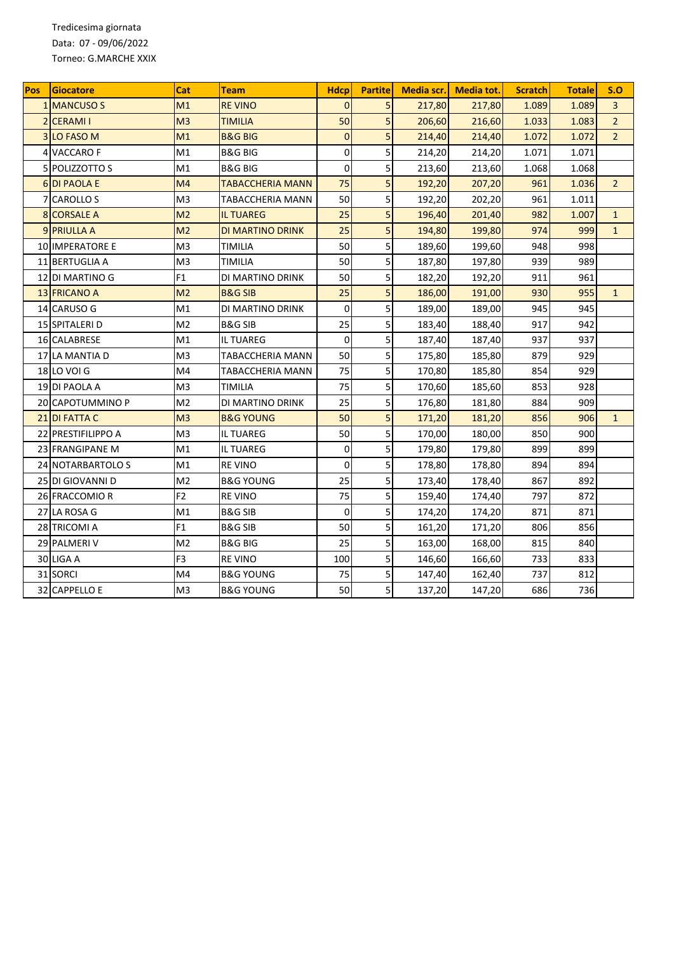Tredicesima giornata Data: 07 - 09/06/2022 Torneo: G.MARCHE XXIX

| Pos | Giocatore              | Cat            | Team                    | <b>Hdcp</b>    | <b>Partitel</b> | Media scr. | <b>Media tot.</b> | <b>Scratch</b> | <b>Totale</b> | S.O            |
|-----|------------------------|----------------|-------------------------|----------------|-----------------|------------|-------------------|----------------|---------------|----------------|
|     | 1 MANCUSO S            | M1             | <b>REVINO</b>           | $\Omega$       | 5               | 217,80     | 217,80            | 1.089          | 1.089         | $\overline{3}$ |
|     | 2 CERAMI I             | M <sub>3</sub> | <b>TIMILIA</b>          | 50             | 5               | 206,60     | 216,60            | 1.033          | 1.083         | $\overline{2}$ |
|     | 3 LO FASO M            | M1             | <b>B&amp;G BIG</b>      | $\mathbf 0$    | 5               | 214,40     | 214,40            | 1.072          | 1.072         | $\overline{2}$ |
|     | 4 VACCARO F            | M1             | B&G BIG                 | 0              | 5               | 214,20     | 214,20            | 1.071          | 1.071         |                |
|     | 5 POLIZZOTTO S         | M1             | <b>B&amp;G BIG</b>      | $\overline{0}$ | 5               | 213,60     | 213,60            | 1.068          | 1.068         |                |
|     | <b>6DI PAOLA E</b>     | M <sub>4</sub> | <b>TABACCHERIA MANN</b> | 75             | 5               | 192,20     | 207,20            | 961            | 1.036         | $\overline{2}$ |
|     | 7 CAROLLO S            | M3             | TABACCHERIA MANN        | 50             | 5               | 192,20     | 202,20            | 961            | 1.011         |                |
| 8   | <b>CORSALE A</b>       | M <sub>2</sub> | <b>IL TUAREG</b>        | 25             | 5               | 196,40     | 201,40            | 982            | 1.007         | $\mathbf{1}$   |
|     | 9 PRIULLA A            | M <sub>2</sub> | <b>DI MARTINO DRINK</b> | 25             | 5               | 194,80     | 199,80            | 974            | 999           | $\mathbf{1}$   |
|     | <b>10 IMPERATORE E</b> | M <sub>3</sub> | TIMILIA                 | 50             | 5               | 189,60     | 199,60            | 948            | 998           |                |
|     | 11 BERTUGLIA A         | M <sub>3</sub> | TIMILIA                 | 50             | 5               | 187,80     | 197,80            | 939            | 989           |                |
|     | 12 DI MARTINO G        | F <sub>1</sub> | DI MARTINO DRINK        | 50             | 5               | 182,20     | 192,20            | 911            | 961           |                |
|     | <b>13 FRICANO A</b>    | M <sub>2</sub> | <b>B&amp;G SIB</b>      | 25             | 5               | 186,00     | 191,00            | 930            | 955           | $\mathbf{1}$   |
|     | 14 CARUSO G            | M1             | DI MARTINO DRINK        | $\Omega$       | 5               | 189,00     | 189,00            | 945            | 945           |                |
|     | 15 SPITALERI D         | M <sub>2</sub> | <b>B&amp;G SIB</b>      | 25             | 5               | 183,40     | 188,40            | 917            | 942           |                |
|     | 16 CALABRESE           | M1             | IL TUAREG               | $\mathbf 0$    | 5               | 187,40     | 187,40            | 937            | 937           |                |
|     | 17 LA MANTIA D         | M <sub>3</sub> | TABACCHERIA MANN        | 50             | 5               | 175,80     | 185,80            | 879            | 929           |                |
|     | <b>18 LO VOI G</b>     | M4             | TABACCHERIA MANN        | 75             | 5               | 170,80     | 185,80            | 854            | 929           |                |
|     | 19 DI PAOLA A          | M3             | TIMILIA                 | 75             | 5               | 170,60     | 185,60            | 853            | 928           |                |
|     | 20 CAPOTUMMINO P       | M <sub>2</sub> | DI MARTINO DRINK        | 25             | 5               | 176,80     | 181,80            | 884            | 909           |                |
|     | 21 DI FATTA C          | M <sub>3</sub> | <b>B&amp;G YOUNG</b>    | 50             | 5               | 171,20     | 181,20            | 856            | 906           | $\mathbf{1}$   |
|     | 22 PRESTIFILIPPO A     | M <sub>3</sub> | IL TUAREG               | 50             | 5               | 170,00     | 180,00            | 850            | 900           |                |
|     | 23 FRANGIPANE M        | M1             | IL TUAREG               | 0              | 5               | 179,80     | 179,80            | 899            | 899           |                |
|     | 24 INOTARBARTOLO S     | M1             | <b>RE VINO</b>          | $\mathbf{0}$   | 5               | 178,80     | 178,80            | 894            | 894           |                |
|     | 25 DI GIOVANNI D       | M <sub>2</sub> | <b>B&amp;G YOUNG</b>    | 25             | 5               | 173,40     | 178,40            | 867            | 892           |                |
|     | 26 FRACCOMIO R         | F <sub>2</sub> | <b>RE VINO</b>          | 75             | 5               | 159,40     | 174,40            | 797            | 872           |                |
|     | 27 LA ROSA G           | M1             | <b>B&amp;G SIB</b>      | $\mathbf 0$    | 5               | 174,20     | 174,20            | 871            | 871           |                |
|     | 28 TRICOMI A           | F1             | B&G SIB                 | 50             | 5               | 161,20     | 171,20            | 806            | 856           |                |
|     | 29 PALMERIV            | M <sub>2</sub> | <b>B&amp;G BIG</b>      | 25             | 5               | 163,00     | 168,00            | 815            | 840           |                |
|     | 30 LIGA A              | F <sub>3</sub> | <b>RE VINO</b>          | 100            | 5               | 146,60     | 166,60            | 733            | 833           |                |
|     | 31 SORCI               | M4             | B&G YOUNG               | 75             | 5               | 147,40     | 162,40            | 737            | 812           |                |
|     | 32 CAPPELLO E          | M3             | B&G YOUNG               | 50             | 5               | 137,20     | 147,20            | 686            | 736           |                |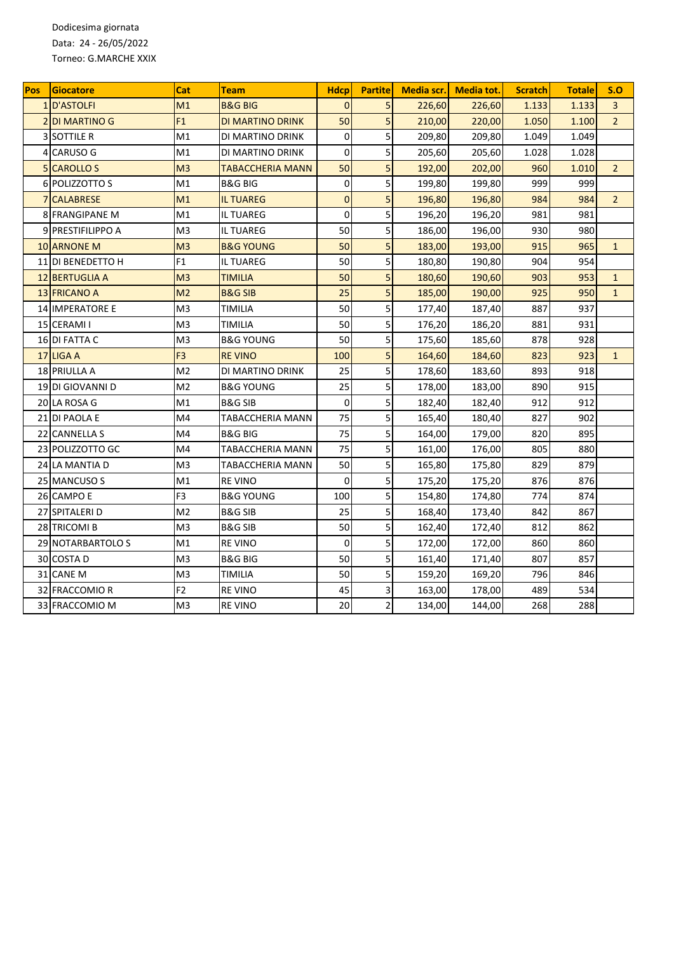Dodicesima giornata Data: 24 - 26/05/2022 Torneo: G.MARCHE XXIX

| <b>Pos</b> | Giocatore              | Cat            | Team                    | <b>Hdcp</b>    | <b>Partite</b> | Media scr. | <b>Media tot.</b> | <b>Scratch</b> | <b>Totale</b> | S.O            |
|------------|------------------------|----------------|-------------------------|----------------|----------------|------------|-------------------|----------------|---------------|----------------|
|            | 1 D'ASTOLFI            | M1             | <b>B&amp;G BIG</b>      | $\overline{0}$ | 5              | 226,60     | 226,60            | 1.133          | 1.133         | $\overline{3}$ |
|            | <b>2DI MARTINO G</b>   | F1             | <b>DI MARTINO DRINK</b> | 50             | 5              | 210,00     | 220,00            | 1.050          | 1.100         | $\overline{2}$ |
|            | <b>3 SOTTILE R</b>     | M1             | DI MARTINO DRINK        | $\Omega$       | 5              | 209,80     | 209,80            | 1.049          | 1.049         |                |
|            | 4 CARUSO G             | M1             | DI MARTINO DRINK        | 0              | 5              | 205,60     | 205,60            | 1.028          | 1.028         |                |
|            | 5 CAROLLO S            | M <sub>3</sub> | <b>TABACCHERIA MANN</b> | 50             | 5              | 192,00     | 202,00            | 960            | 1.010         | $\overline{2}$ |
|            | 6 POLIZZOTTO S         | M1             | <b>B&amp;G BIG</b>      | $\mathbf 0$    | 5              | 199,80     | 199,80            | 999            | 999           |                |
|            | <b>7 CALABRESE</b>     | M <sub>1</sub> | <b>IL TUAREG</b>        | $\overline{0}$ | 5              | 196,80     | 196,80            | 984            | 984           | $\overline{2}$ |
|            | <b>8 FRANGIPANE M</b>  | M1             | <b>IL TUAREG</b>        | $\mathbf 0$    | 5              | 196,20     | 196,20            | 981            | 981           |                |
|            | 9 PRESTIFILIPPO A      | M3             | <b>IL TUAREG</b>        | 50             | 5              | 186,00     | 196,00            | 930            | 980           |                |
|            | <b>10 ARNONE M</b>     | M <sub>3</sub> | <b>B&amp;G YOUNG</b>    | 50             | 5              | 183,00     | 193,00            | 915            | 965           | $\mathbf{1}$   |
|            | 11 DI BENEDETTO H      | F <sub>1</sub> | <b>IL TUAREG</b>        | 50             | 5              | 180,80     | 190,80            | 904            | 954           |                |
|            | 12 BERTUGLIA A         | M <sub>3</sub> | <b>TIMILIA</b>          | 50             | 5              | 180,60     | 190,60            | 903            | 953           | $\mathbf{1}$   |
|            | 13 FRICANO A           | M <sub>2</sub> | <b>B&amp;G SIB</b>      | 25             | 5              | 185,00     | 190,00            | 925            | 950           | $\mathbf{1}$   |
|            | <b>14 IMPERATORE E</b> | M3             | TIMILIA                 | 50             | 5              | 177,40     | 187,40            | 887            | 937           |                |
|            | 15 CERAMI I            | M <sub>3</sub> | TIMILIA                 | 50             | 5              | 176,20     | 186,20            | 881            | 931           |                |
|            | 16 DI FATTA C          | M3             | <b>B&amp;G YOUNG</b>    | 50             | 5              | 175,60     | 185,60            | 878            | 928           |                |
|            | 17 LIGA A              | F <sub>3</sub> | <b>REVINO</b>           | 100            | 5              | 164,60     | 184,60            | 823            | 923           | $\mathbf{1}$   |
|            | <b>18 PRIULLA A</b>    | M <sub>2</sub> | DI MARTINO DRINK        | 25             | 5              | 178,60     | 183,60            | 893            | 918           |                |
|            | 19 DI GIOVANNI D       | M <sub>2</sub> | <b>B&amp;G YOUNG</b>    | 25             | 5              | 178,00     | 183,00            | 890            | 915           |                |
|            | 20 LA ROSA G           | M1             | B&G SIB                 | $\Omega$       | 5              | 182,40     | 182,40            | 912            | 912           |                |
|            | 21 DI PAOLA E          | M4             | TABACCHERIA MANN        | 75             | 5              | 165,40     | 180,40            | 827            | 902           |                |
|            | 22 CANNELLA S          | M4             | <b>B&amp;G BIG</b>      | 75             | 5              | 164,00     | 179,00            | 820            | 895           |                |
|            | 23 POLIZZOTTO GC       | M4             | <b>TABACCHERIA MANN</b> | 75             | 5              | 161,00     | 176,00            | 805            | 880           |                |
|            | 24 LA MANTIA D         | M <sub>3</sub> | <b>TABACCHERIA MANN</b> | 50             | 5              | 165,80     | 175,80            | 829            | 879           |                |
|            | 25 MANCUSO S           | M1             | <b>REVINO</b>           | $\mathbf 0$    | 5              | 175,20     | 175,20            | 876            | 876           |                |
|            | 26 CAMPO E             | F3             | B&G YOUNG               | 100            | 5              | 154,80     | 174,80            | 774            | 874           |                |
|            | 27 SPITALERI D         | M2             | <b>B&amp;G SIB</b>      | 25             | 5              | 168,40     | 173,40            | 842            | 867           |                |
|            | 28 TRICOMI B           | M <sub>3</sub> | <b>B&amp;G SIB</b>      | 50             | 5              | 162,40     | 172,40            | 812            | 862           |                |
|            | 29 NOTARBARTOLO S      | M1             | <b>REVINO</b>           | $\Omega$       | 5              | 172,00     | 172,00            | 860            | 860           |                |
|            | 30 COSTA D             | M3             | <b>B&amp;G BIG</b>      | 50             | 5              | 161,40     | 171,40            | 807            | 857           |                |
|            | 31 CANE M              | M3             | TIMILIA                 | 50             | 5              | 159,20     | 169,20            | 796            | 846           |                |
|            | 32 FRACCOMIO R         | F <sub>2</sub> | <b>REVINO</b>           | 45             | 3              | 163,00     | 178,00            | 489            | 534           |                |
|            | 33 FRACCOMIO M         | M <sub>3</sub> | <b>REVINO</b>           | 20             | $\overline{2}$ | 134,00     | 144,00            | 268            | 288           |                |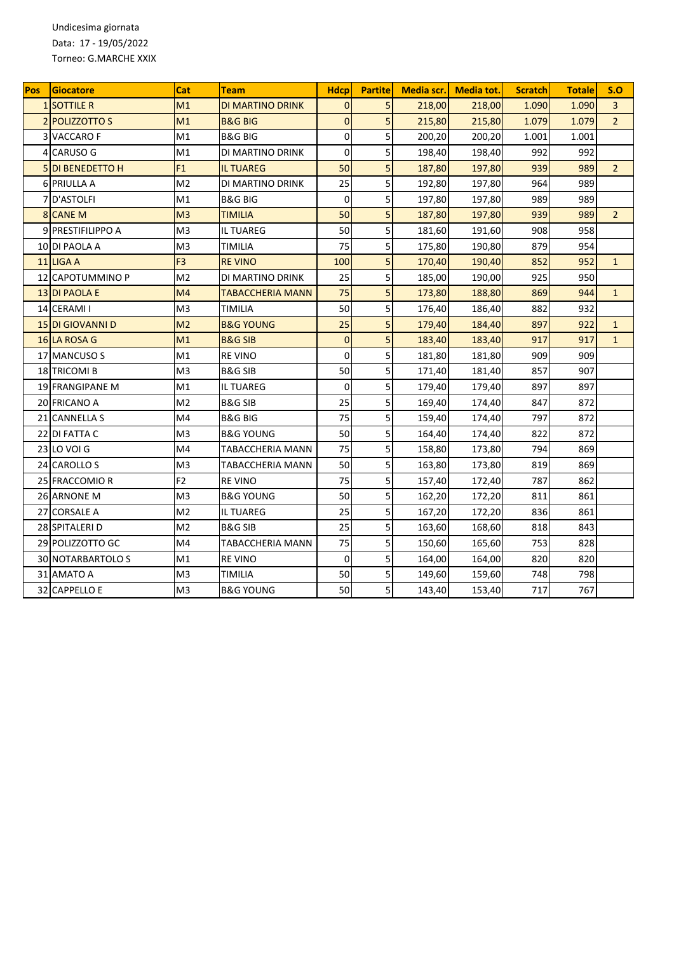Undicesima giornata Data: 17 - 19/05/2022 Torneo: G.MARCHE XXIX

| Pos | Giocatore                 | Cat            | Team                    | <b>Hdcp</b>    | <b>Partite</b> | Media scr. | <b>Media tot.</b> | <b>Scratch</b> | <b>Totale</b> | S.O            |
|-----|---------------------------|----------------|-------------------------|----------------|----------------|------------|-------------------|----------------|---------------|----------------|
|     | <b>1 SOTTILE R</b>        | M1             | DI MARTINO DRINK        | $\Omega$       | 5              | 218,00     | 218,00            | 1.090          | 1.090         | $\overline{3}$ |
|     | <b>2 POLIZZOTTO S</b>     | M1             | <b>B&amp;G BIG</b>      | $\overline{0}$ | 5              | 215,80     | 215,80            | 1.079          | 1.079         | $\overline{2}$ |
| 3   | <b>VACCAROF</b>           | M1             | B&G BIG                 | $\mathbf 0$    | 5              | 200,20     | 200,20            | 1.001          | 1.001         |                |
|     | 4 CARUSO G                | M1             | DI MARTINO DRINK        | $\mathbf 0$    | 5              | 198,40     | 198,40            | 992            | 992           |                |
|     | 5 DI BENEDETTO H          | F1             | <b>IL TUAREG</b>        | 50             | 5              | 187,80     | 197,80            | 939            | 989           | $\overline{2}$ |
|     | 6 PRIULLA A               | M <sub>2</sub> | DI MARTINO DRINK        | 25             | 5              | 192,80     | 197,80            | 964            | 989           |                |
|     | 7 D'ASTOLFI               | M1             | <b>B&amp;G BIG</b>      | $\mathbf 0$    | 5              | 197,80     | 197,80            | 989            | 989           |                |
|     | 8 CANE M                  | M <sub>3</sub> | TIMILIA                 | 50             | 5              | 187,80     | 197,80            | 939            | 989           | $\overline{2}$ |
|     | 9 PRESTIFILIPPO A         | M <sub>3</sub> | <b>IL TUAREG</b>        | 50             | 5              | 181,60     | 191,60            | 908            | 958           |                |
|     | 10 DI PAOLA A             | M <sub>3</sub> | <b>TIMILIA</b>          | 75             | 5              | 175,80     | 190,80            | 879            | 954           |                |
|     | 11 LIGA A                 | F <sub>3</sub> | <b>REVINO</b>           | 100            | 5              | 170,40     | 190,40            | 852            | 952           | $\mathbf{1}$   |
|     | 12 CAPOTUMMINO P          | M <sub>2</sub> | DI MARTINO DRINK        | 25             | 5              | 185,00     | 190,00            | 925            | 950           |                |
|     | 13 DI PAOLA E             | M <sub>4</sub> | <b>TABACCHERIA MANN</b> | 75             | 5              | 173,80     | 188,80            | 869            | 944           | $\mathbf{1}$   |
|     | 14 CERAMI I               | M <sub>3</sub> | <b>TIMILIA</b>          | 50             | 5              | 176,40     | 186,40            | 882            | 932           |                |
|     | 15 DI GIOVANNI D          | M <sub>2</sub> | <b>B&amp;G YOUNG</b>    | 25             | 5              | 179,40     | 184,40            | 897            | 922           | $\mathbf{1}$   |
|     | 16 LA ROSA G              | M1             | <b>B&amp;G SIB</b>      | $\overline{0}$ | 5              | 183,40     | 183,40            | 917            | 917           | $\mathbf{1}$   |
|     | 17 MANCUSO S              | M1             | <b>REVINO</b>           | $\mathbf 0$    | 5              | 181,80     | 181,80            | 909            | 909           |                |
|     | <b>18 TRICOMI B</b>       | M <sub>3</sub> | <b>B&amp;G SIB</b>      | 50             | 5              | 171,40     | 181,40            | 857            | 907           |                |
|     | <b>19 FRANGIPANE M</b>    | M1             | IL TUAREG               | $\mathbf 0$    | 5              | 179,40     | 179,40            | 897            | 897           |                |
|     | 20 FRICANO A              | M <sub>2</sub> | <b>B&amp;G SIB</b>      | 25             | 5              | 169,40     | 174,40            | 847            | 872           |                |
|     | 21 CANNELLA S             | M4             | <b>B&amp;G BIG</b>      | 75             | 5              | 159,40     | 174,40            | 797            | 872           |                |
|     | 22 DI FATTA C             | M <sub>3</sub> | <b>B&amp;G YOUNG</b>    | 50             | 5              | 164,40     | 174,40            | 822            | 872           |                |
|     | <b>23 LO VOI G</b>        | M4             | TABACCHERIA MANN        | 75             | 5              | 158,80     | 173,80            | 794            | 869           |                |
|     | 24 CAROLLO S              | M <sub>3</sub> | TABACCHERIA MANN        | 50             | 5              | 163,80     | 173,80            | 819            | 869           |                |
|     | 25 FRACCOMIO R            | F <sub>2</sub> | <b>REVINO</b>           | 75             | 5              | 157,40     | 172,40            | 787            | 862           |                |
|     | 26 ARNONE M               | M <sub>3</sub> | <b>B&amp;G YOUNG</b>    | 50             | 5              | 162,20     | 172,20            | 811            | 861           |                |
| 27  | <b>CORSALE A</b>          | M <sub>2</sub> | IL TUAREG               | 25             | 5              | 167,20     | 172,20            | 836            | 861           |                |
|     | 28 SPITALERI D            | M <sub>2</sub> | <b>B&amp;G SIB</b>      | 25             | 5              | 163,60     | 168,60            | 818            | 843           |                |
|     | 29 POLIZZOTTO GC          | M4             | TABACCHERIA MANN        | 75             | 5              | 150,60     | 165,60            | 753            | 828           |                |
|     | <b>30 INOTARBARTOLO S</b> | M1             | <b>RE VINO</b>          | $\Omega$       | 5              | 164,00     | 164,00            | 820            | 820           |                |
|     | 31 AMATO A                | M <sub>3</sub> | TIMILIA                 | 50             | 5              | 149,60     | 159,60            | 748            | 798           |                |
|     | 32 CAPPELLO E             | M3             | B&G YOUNG               | 50             | 5              | 143,40     | 153,40            | 717            | 767           |                |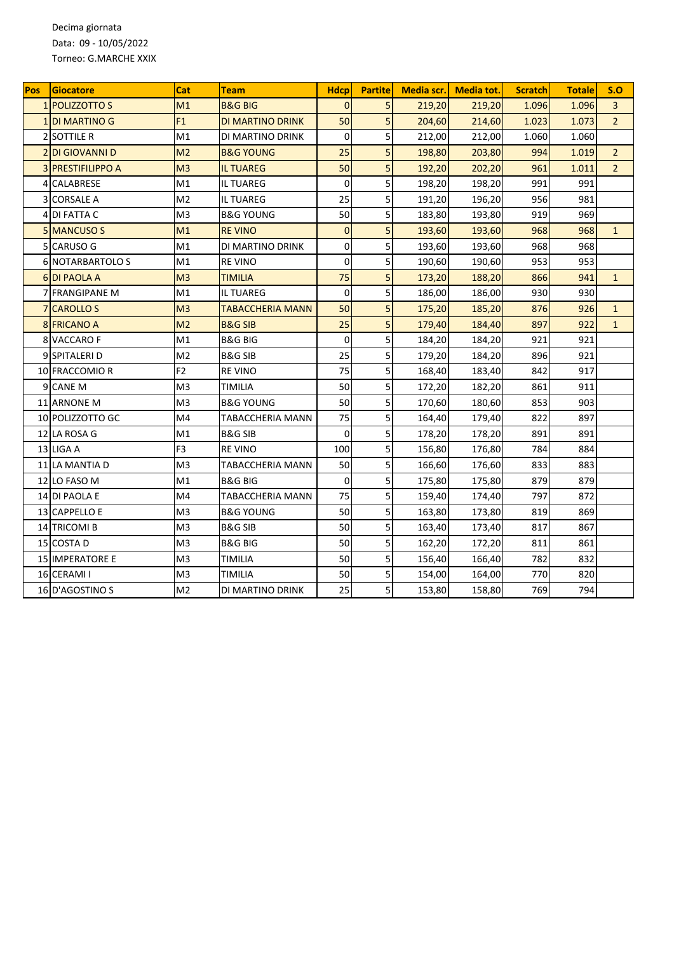Decima giornata Data: 09 - 10/05/2022 Torneo: G.MARCHE XXIX

| Pos | <b>Giocatore</b>          | Cat            | Team                    | <b>Hdcp</b>    | <b>Partitel</b> | Media scr. | Media tot. | <b>Scratch</b> | <b>Totale</b> | S.O            |
|-----|---------------------------|----------------|-------------------------|----------------|-----------------|------------|------------|----------------|---------------|----------------|
|     | 1 POLIZZOTTO S            | M1             | <b>B&amp;G BIG</b>      | $\Omega$       | 5               | 219,20     | 219,20     | 1.096          | 1.096         | 3              |
|     | <b>1 DI MARTINO G</b>     | F1             | DI MARTINO DRINK        | 50             | 5               | 204,60     | 214,60     | 1.023          | 1.073         | $\overline{2}$ |
|     | <b>2 SOTTILE R</b>        | M1             | DI MARTINO DRINK        | $\mathbf 0$    | 5               | 212,00     | 212,00     | 1.060          | 1.060         |                |
|     | <b>2DI GIOVANNI D</b>     | M <sub>2</sub> | <b>B&amp;G YOUNG</b>    | 25             | 5               | 198,80     | 203,80     | 994            | 1.019         | $\overline{2}$ |
|     | <b>3 IPRESTIFILIPPO A</b> | M <sub>3</sub> | <b>IL TUAREG</b>        | 50             | 5               | 192,20     | 202,20     | 961            | 1.011         | $\overline{2}$ |
|     | 4 CALABRESE               | M1             | <b>IL TUAREG</b>        | $\Omega$       | 5               | 198,20     | 198,20     | 991            | 991           |                |
|     | <b>3 CORSALE A</b>        | M <sub>2</sub> | IL TUAREG               | 25             | 5               | 191,20     | 196,20     | 956            | 981           |                |
| 4   | DI FATTA C                | M3             | <b>B&amp;G YOUNG</b>    | 50             | 5               | 183,80     | 193,80     | 919            | 969           |                |
|     | 5 MANCUSO S               | M1             | <b>RE VINO</b>          | $\overline{0}$ | 5               | 193,60     | 193,60     | 968            | 968           | $\mathbf{1}$   |
|     | 5 CARUSO G                | M1             | DI MARTINO DRINK        | 0              | 5               | 193,60     | 193,60     | 968            | 968           |                |
|     | <b>6 NOTARBARTOLO S</b>   | M1             | <b>REVINO</b>           | 0              | 5               | 190,60     | 190,60     | 953            | 953           |                |
|     | <b>6 DI PAOLA A</b>       | M <sub>3</sub> | <b>TIMILIA</b>          | 75             | 5               | 173,20     | 188,20     | 866            | 941           | $\mathbf{1}$   |
|     | <b>7 FRANGIPANE M</b>     | M1             | IL TUAREG               | $\mathbf{0}$   | 5               | 186,00     | 186,00     | 930            | 930           |                |
|     | <b>7ICAROLLO S</b>        | M <sub>3</sub> | <b>TABACCHERIA MANN</b> | 50             | 5               | 175,20     | 185,20     | 876            | 926           | $\mathbf{1}$   |
|     | <b>8 FRICANO A</b>        | M <sub>2</sub> | <b>B&amp;G SIB</b>      | 25             | 5               | 179,40     | 184,40     | 897            | 922           | $\mathbf{1}$   |
|     | 8 VACCARO F               | M1             | B&G BIG                 | $\mathbf 0$    | 5               | 184,20     | 184,20     | 921            | 921           |                |
|     | 9 SPITALERI D             | M <sub>2</sub> | <b>B&amp;G SIB</b>      | 25             | 5               | 179,20     | 184,20     | 896            | 921           |                |
|     | 10 FRACCOMIO R            | F <sub>2</sub> | <b>RE VINO</b>          | 75             | 5               | 168,40     | 183,40     | 842            | 917           |                |
|     | 9 CANE M                  | M3             | TIMILIA                 | 50             | 5               | 172,20     | 182,20     | 861            | 911           |                |
|     | 11 ARNONE M               | M <sub>3</sub> | <b>B&amp;G YOUNG</b>    | 50             | 5               | 170,60     | 180,60     | 853            | 903           |                |
|     | 10 POLIZZOTTO GC          | M4             | TABACCHERIA MANN        | 75             | 5               | 164,40     | 179,40     | 822            | 897           |                |
|     | 12 LA ROSA G              | M1             | <b>B&amp;G SIB</b>      | $\overline{0}$ | 5               | 178,20     | 178,20     | 891            | 891           |                |
|     | 13 LIGA A                 | F <sub>3</sub> | <b>RE VINO</b>          | 100            | 5               | 156,80     | 176,80     | 784            | 884           |                |
|     | 11 LA MANTIA D            | M <sub>3</sub> | TABACCHERIA MANN        | 50             | 5               | 166,60     | 176,60     | 833            | 883           |                |
|     | 12 LO FASO M              | M1             | <b>B&amp;G BIG</b>      | $\mathbf 0$    | 5               | 175,80     | 175,80     | 879            | 879           |                |
|     | 14 DI PAOLA E             | M4             | TABACCHERIA MANN        | 75             | 5               | 159,40     | 174,40     | 797            | 872           |                |
|     | 13 CAPPELLO E             | M3             | <b>B&amp;G YOUNG</b>    | 50             | 5               | 163,80     | 173,80     | 819            | 869           |                |
|     | 14 TRICOMI B              | M <sub>3</sub> | B&G SIB                 | 50             | 5               | 163,40     | 173,40     | 817            | 867           |                |
|     | 15 COSTA D                | M <sub>3</sub> | <b>B&amp;G BIG</b>      | 50             | 5               | 162,20     | 172,20     | 811            | 861           |                |
|     | <b>15 IMPERATORE E</b>    | M <sub>3</sub> | TIMILIA                 | 50             | 5               | 156,40     | 166,40     | 782            | 832           |                |
|     | 16 CERAMI I               | M <sub>3</sub> | TIMILIA                 | 50             | 5               | 154,00     | 164,00     | 770            | 820           |                |
|     | 16 D'AGOSTINO S           | M2             | DI MARTINO DRINK        | 25             | 5               | 153,80     | 158,80     | 769            | 794           |                |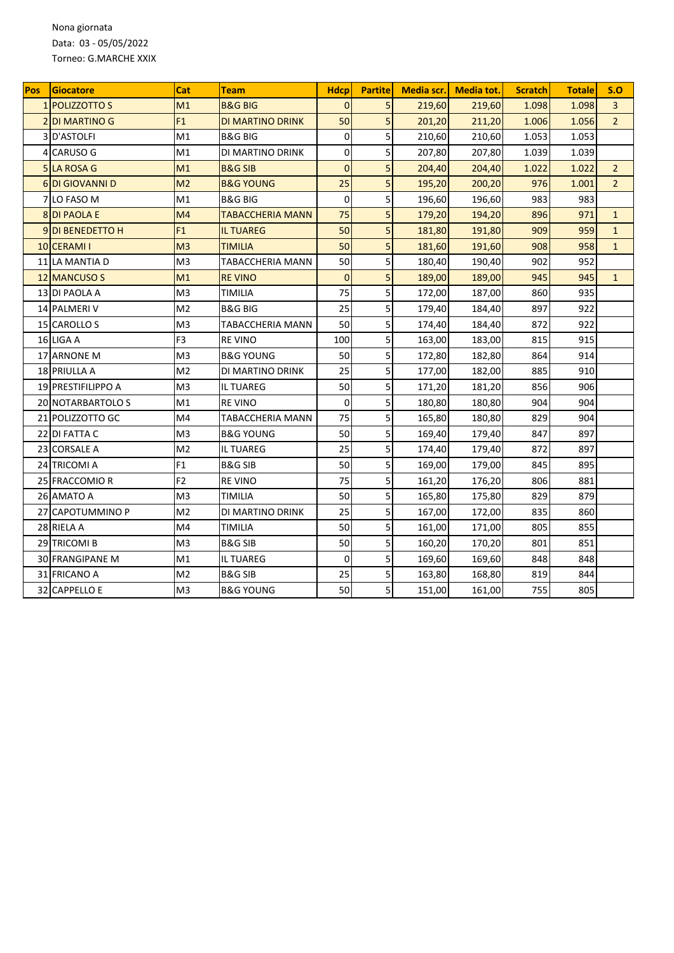Nona giornata Data: 03 - 05/05/2022 Torneo: G.MARCHE XXIX

| <b>Pos</b> | Giocatore                 | Cat            | Team                 | <b>Hdcp</b>    | <b>Partite</b> | Media scr. | <b>Media tot.</b> | <b>Scratch</b> | <b>Totale</b> | S.O            |
|------------|---------------------------|----------------|----------------------|----------------|----------------|------------|-------------------|----------------|---------------|----------------|
|            | 1 POLIZZOTTO S            | M1             | <b>B&amp;G BIG</b>   | $\Omega$       | 5              | 219,60     | 219,60            | 1.098          | 1.098         | $\overline{3}$ |
|            | <b>2DI MARTINO G</b>      | F1             | DI MARTINO DRINK     | 50             | 5              | 201,20     | 211,20            | 1.006          | 1.056         | $\overline{2}$ |
| 3          | D'ASTOLFI                 | M1             | B&G BIG              | $\mathbf 0$    | 5              | 210,60     | 210,60            | 1.053          | 1.053         |                |
| 4          | <b>CARUSO G</b>           | M1             | DI MARTINO DRINK     | 0              | 5              | 207,80     | 207,80            | 1.039          | 1.039         |                |
|            | <b>5 LA ROSA G</b>        | M1             | <b>B&amp;G SIB</b>   | $\overline{0}$ | 5              | 204,40     | 204,40            | 1.022          | 1.022         | $\overline{2}$ |
|            | <b>6DI GIOVANNI D</b>     | M <sub>2</sub> | <b>B&amp;G YOUNG</b> | 25             | 5              | 195,20     | 200,20            | 976            | 1.001         | $\overline{2}$ |
|            | 7 LO FASO M               | M1             | B&G BIG              | $\mathbf 0$    | 5              | 196,60     | 196,60            | 983            | 983           |                |
|            | <b>8DI PAOLA E</b>        | M4             | TABACCHERIA MANN     | 75             | 5              | 179,20     | 194,20            | 896            | 971           | $\mathbf{1}$   |
|            | 9DI BENEDETTO H           | F1             | <b>IL TUAREG</b>     | 50             | 5              | 181,80     | 191,80            | 909            | 959           | $\mathbf{1}$   |
|            | 10 CERAMI I               | M <sub>3</sub> | <b>TIMILIA</b>       | 50             | 5              | 181,60     | 191,60            | 908            | 958           | $\mathbf{1}$   |
|            | 11 LA MANTIA D            | M <sub>3</sub> | TABACCHERIA MANN     | 50             | 5              | 180,40     | 190,40            | 902            | 952           |                |
|            | 12 MANCUSO S              | M1             | <b>RE VINO</b>       | $\overline{0}$ | 5              | 189,00     | 189,00            | 945            | 945           | $\mathbf{1}$   |
|            | 13 DI PAOLA A             | M <sub>3</sub> | TIMILIA              | 75             | 5              | 172,00     | 187,00            | 860            | 935           |                |
|            | 14 PALMERI V              | M <sub>2</sub> | <b>B&amp;G BIG</b>   | 25             | 5              | 179,40     | 184,40            | 897            | 922           |                |
|            | 15 CAROLLO S              | M <sub>3</sub> | TABACCHERIA MANN     | 50             | 5              | 174,40     | 184,40            | 872            | 922           |                |
|            | 16 LIGA A                 | F <sub>3</sub> | <b>RE VINO</b>       | 100            | 5              | 163,00     | 183,00            | 815            | 915           |                |
|            | 17 ARNONE M               | M <sub>3</sub> | <b>B&amp;G YOUNG</b> | 50             | 5              | 172,80     | 182,80            | 864            | 914           |                |
|            | 18 PRIULLA A              | M <sub>2</sub> | DI MARTINO DRINK     | 25             | 5              | 177,00     | 182,00            | 885            | 910           |                |
|            | <b>19 PRESTIFILIPPO A</b> | M3             | <b>IL TUAREG</b>     | 50             | 5              | 171,20     | 181,20            | 856            | 906           |                |
|            | 20 NOTARBARTOLO S         | M1             | <b>RE VINO</b>       | $\mathbf 0$    | 5              | 180,80     | 180,80            | 904            | 904           |                |
|            | 21 POLIZZOTTO GC          | M4             | TABACCHERIA MANN     | 75             | 5              | 165,80     | 180,80            | 829            | 904           |                |
|            | 22 DI FATTA C             | M <sub>3</sub> | <b>B&amp;G YOUNG</b> | 50             | 5              | 169,40     | 179,40            | 847            | 897           |                |
|            | 23 CORSALE A              | M <sub>2</sub> | IL TUAREG            | 25             | 5              | 174,40     | 179,40            | 872            | 897           |                |
|            | 24 TRICOMI A              | F <sub>1</sub> | B&G SIB              | 50             | 5              | 169,00     | 179,00            | 845            | 895           |                |
|            | 25 FRACCOMIO R            | F <sub>2</sub> | <b>REVINO</b>        | 75             | 5              | 161,20     | 176,20            | 806            | 881           |                |
|            | 26 AMATO A                | M <sub>3</sub> | TIMILIA              | 50             | 5              | 165,80     | 175,80            | 829            | 879           |                |
|            | 27 CAPOTUMMINO P          | M <sub>2</sub> | DI MARTINO DRINK     | 25             | 5              | 167,00     | 172,00            | 835            | 860           |                |
|            | 28 RIELA A                | M4             | TIMILIA              | 50             | 5              | 161,00     | 171,00            | 805            | 855           |                |
|            | 29 TRICOMI B              | M3             | <b>B&amp;G SIB</b>   | 50             | 5              | 160,20     | 170,20            | 801            | 851           |                |
|            | <b>30 FRANGIPANE M</b>    | M1             | <b>IL TUAREG</b>     | $\mathbf 0$    | 5              | 169,60     | 169,60            | 848            | 848           |                |
|            | 31 FRICANO A              | M <sub>2</sub> | <b>B&amp;G SIB</b>   | 25             | 5              | 163,80     | 168,80            | 819            | 844           |                |
|            | 32 CAPPELLO E             | M3             | B&G YOUNG            | 50             | 5              | 151,00     | 161,00            | 755            | 805           |                |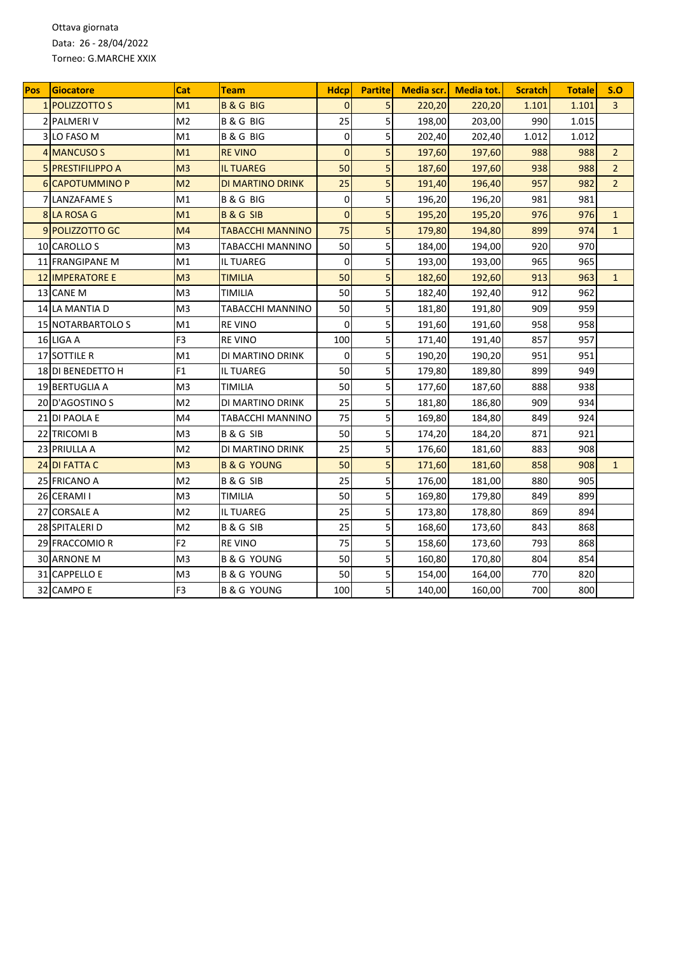Ottava giornata Data: 26 - 28/04/2022 Torneo: G.MARCHE XXIX

| <b>Pos</b> | Giocatore                | Cat            | Team                    | <b>Hdcp</b>    | <b>Partite</b> | Media scr. | <b>Media tot.</b> | <b>Scratch</b> | <b>Totale</b> | S.O            |
|------------|--------------------------|----------------|-------------------------|----------------|----------------|------------|-------------------|----------------|---------------|----------------|
|            | 1 POLIZZOTTO S           | M1             | <b>B&amp;GBIG</b>       | $\Omega$       | 5              | 220,20     | 220,20            | 1.101          | 1.101         | $\overline{3}$ |
|            | 2 PALMERI V              | M <sub>2</sub> | <b>B&amp;GBIG</b>       | 25             | 5              | 198,00     | 203,00            | 990            | 1.015         |                |
| 3          | LO FASO M                | M1             | <b>B &amp; G BIG</b>    | 0              | 5              | 202,40     | 202,40            | 1.012          | 1.012         |                |
|            | 4 MANCUSO S              | M1             | <b>RE VINO</b>          | $\overline{0}$ | 5              | 197,60     | 197,60            | 988            | 988           | $\overline{2}$ |
|            | 5 PRESTIFILIPPO A        | M <sub>3</sub> | <b>IL TUAREG</b>        | 50             | 5              | 187,60     | 197,60            | 938            | 988           | $\overline{2}$ |
|            | <b>6ICAPOTUMMINO P</b>   | M <sub>2</sub> | DI MARTINO DRINK        | 25             | 5              | 191,40     | 196,40            | 957            | 982           | $\overline{2}$ |
|            | <b>7 LANZAFAME S</b>     | M1             | <b>B&amp;GBIG</b>       | $\mathbf 0$    | 5              | 196,20     | 196,20            | 981            | 981           |                |
|            | 8 LA ROSA G              | M1             | <b>B&amp;GSIB</b>       | $\overline{0}$ | 5              | 195,20     | 195,20            | 976            | 976           | $\mathbf{1}$   |
|            | 9 POLIZZOTTO GC          | M <sub>4</sub> | <b>TABACCHI MANNINO</b> | 75             | 5              | 179,80     | 194,80            | 899            | 974           | $\mathbf{1}$   |
|            | 10 CAROLLO S             | M <sub>3</sub> | TABACCHI MANNINO        | 50             | 5              | 184,00     | 194,00            | 920            | 970           |                |
|            | 11 FRANGIPANE M          | M1             | IL TUAREG               | $\mathbf 0$    | 5              | 193,00     | 193,00            | 965            | 965           |                |
|            | <b>12 IMPERATORE E</b>   | M <sub>3</sub> | TIMILIA                 | 50             | 5              | 182,60     | 192,60            | 913            | 963           | $\mathbf{1}$   |
|            | 13 CANE M                | M <sub>3</sub> | TIMILIA                 | 50             | 5              | 182,40     | 192,40            | 912            | 962           |                |
|            | 14 LA MANTIA D           | M <sub>3</sub> | TABACCHI MANNINO        | 50             | 5              | 181,80     | 191,80            | 909            | 959           |                |
|            | <b>15 NOTARBARTOLO S</b> | M1             | <b>REVINO</b>           | $\Omega$       | 5              | 191,60     | 191,60            | 958            | 958           |                |
|            | 16 LIGA A                | F <sub>3</sub> | <b>RE VINO</b>          | 100            | 5              | 171,40     | 191,40            | 857            | 957           |                |
|            | 17 SOTTILE R             | M1             | DI MARTINO DRINK        | $\mathbf 0$    | 5              | 190,20     | 190,20            | 951            | 951           |                |
|            | 18 DI BENEDETTO H        | F <sub>1</sub> | IL TUAREG               | 50             | 5              | 179,80     | 189,80            | 899            | 949           |                |
|            | 19 BERTUGLIA A           | M <sub>3</sub> | TIMILIA                 | 50             | 5              | 177,60     | 187,60            | 888            | 938           |                |
|            | 20 D'AGOSTINO S          | M <sub>2</sub> | DI MARTINO DRINK        | 25             | 5              | 181,80     | 186,80            | 909            | 934           |                |
|            | 21 DI PAOLA E            | M4             | TABACCHI MANNINO        | 75             | 5              | 169,80     | 184,80            | 849            | 924           |                |
|            | 22 TRICOMI B             | M <sub>3</sub> | <b>B&amp;GSIB</b>       | 50             | 5              | 174,20     | 184,20            | 871            | 921           |                |
|            | 23 PRIULLA A             | M <sub>2</sub> | DI MARTINO DRINK        | 25             | 5              | 176,60     | 181,60            | 883            | 908           |                |
|            | 24 DI FATTA C            | M <sub>3</sub> | <b>B &amp; G YOUNG</b>  | 50             | 5              | 171,60     | 181,60            | 858            | 908           | $\mathbf{1}$   |
|            | 25 FRICANO A             | M <sub>2</sub> | <b>B&amp;GSIB</b>       | 25             | 5              | 176,00     | 181,00            | 880            | 905           |                |
|            | 26 CERAMI I              | M <sub>3</sub> | TIMILIA                 | 50             | 5              | 169,80     | 179,80            | 849            | 899           |                |
| 27         | <b>CORSALE A</b>         | M <sub>2</sub> | IL TUAREG               | 25             | 5              | 173,80     | 178,80            | 869            | 894           |                |
|            | 28 SPITALERI D           | M <sub>2</sub> | <b>B&amp;GSIB</b>       | 25             | 5              | 168,60     | 173,60            | 843            | 868           |                |
|            | 29 FRACCOMIO R           | F <sub>2</sub> | <b>RE VINO</b>          | 75             | 5              | 158,60     | 173,60            | 793            | 868           |                |
|            | 30 ARNONE M              | M <sub>3</sub> | <b>B &amp; G YOUNG</b>  | 50             | 5              | 160,80     | 170,80            | 804            | 854           |                |
|            | 31 CAPPELLO E            | M3             | <b>B &amp; G YOUNG</b>  | 50             | 5              | 154,00     | 164,00            | 770            | 820           |                |
|            | 32 CAMPO E               | F <sub>3</sub> | <b>B &amp; G YOUNG</b>  | 100            | 5              | 140,00     | 160,00            | 700            | 800           |                |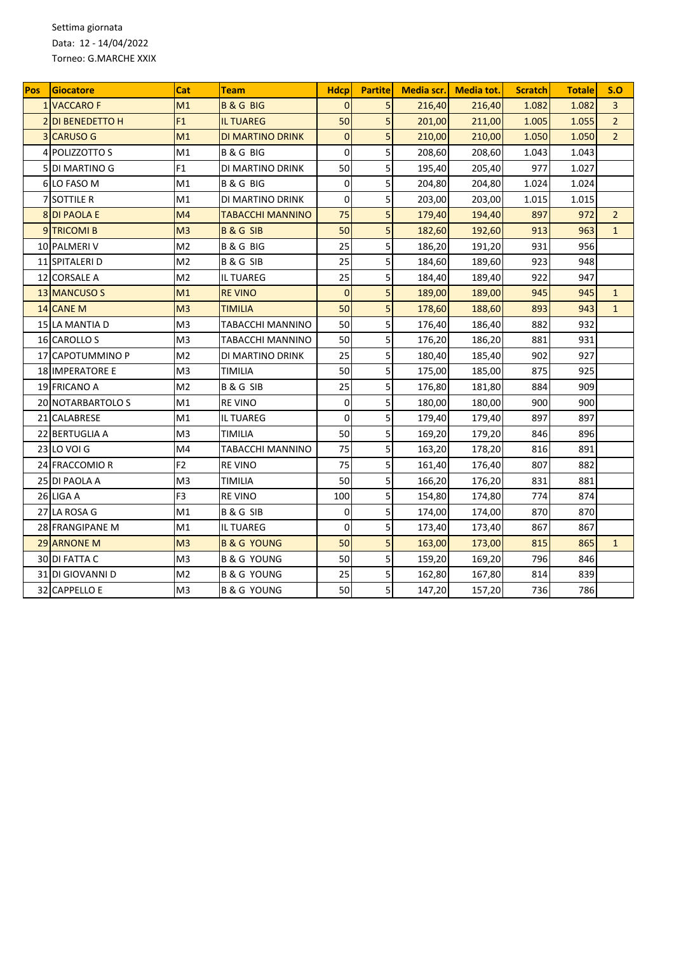Settima giornata Data: 12 - 14/04/2022 Torneo: G.MARCHE XXIX

| <b>Pos</b> | Giocatore               | Cat            | Team                   | <b>Hdcp</b>    | <b>Partite</b> | Media scr. | <b>Media tot.</b> | <b>Scratch</b> | <b>Totale</b> | S.O            |
|------------|-------------------------|----------------|------------------------|----------------|----------------|------------|-------------------|----------------|---------------|----------------|
|            | <b>1 VACCARO F</b>      | M1             | <b>B&amp;GBIG</b>      | $\Omega$       | 5              | 216,40     | 216,40            | 1.082          | 1.082         | $\overline{3}$ |
|            | <b>2IDI BENEDETTO H</b> | F1             | <b>IL TUAREG</b>       | 50             | 5              | 201,00     | 211,00            | 1.005          | 1.055         | $\overline{2}$ |
| 3          | <b>CARUSO G</b>         | M1             | DI MARTINO DRINK       | $\mathbf{0}$   | 5              | 210,00     | 210,00            | 1.050          | 1.050         | $\overline{2}$ |
| 4          | POLIZZOTTO S            | M1             | <b>B&amp;GBIG</b>      | $\mathbf 0$    | 5              | 208,60     | 208,60            | 1.043          | 1.043         |                |
|            | <b>5 DI MARTINO G</b>   | F <sub>1</sub> | DI MARTINO DRINK       | 50             | 5              | 195,40     | 205,40            | 977            | 1.027         |                |
|            | 6 LO FASO M             | M1             | <b>B&amp;GBIG</b>      | $\overline{0}$ | 5              | 204,80     | 204,80            | 1.024          | 1.024         |                |
|            | 7 SOTTILE R             | M1             | DI MARTINO DRINK       | $\mathbf 0$    | 5              | 203,00     | 203,00            | 1.015          | 1.015         |                |
|            | 8 DI PAOLA E            | M4             | TABACCHI MANNINO       | 75             | 5              | 179,40     | 194,40            | 897            | 972           | $\overline{2}$ |
|            | 9TRICOMI B              | M <sub>3</sub> | <b>B&amp;GSIB</b>      | 50             | 5              | 182,60     | 192,60            | 913            | 963           | $\mathbf{1}$   |
|            | 10 PALMERI V            | M <sub>2</sub> | <b>B&amp;GBIG</b>      | 25             | 5              | 186,20     | 191,20            | 931            | 956           |                |
|            | 11 SPITALERI D          | M <sub>2</sub> | <b>B&amp;GSIB</b>      | 25             | 5              | 184,60     | 189,60            | 923            | 948           |                |
|            | 12 CORSALE A            | M <sub>2</sub> | IL TUAREG              | 25             | 5              | 184,40     | 189,40            | 922            | 947           |                |
|            | 13 MANCUSO S            | M1             | <b>RE VINO</b>         | $\overline{0}$ | 5              | 189,00     | 189,00            | 945            | 945           | $\mathbf{1}$   |
|            | 14 CANE M               | M <sub>3</sub> | <b>TIMILIA</b>         | 50             | 5              | 178,60     | 188,60            | 893            | 943           | $\mathbf{1}$   |
|            | <b>15 LA MANTIA D</b>   | M <sub>3</sub> | TABACCHI MANNINO       | 50             | 5              | 176,40     | 186,40            | 882            | 932           |                |
|            | <b>16 CAROLLO S</b>     | M <sub>3</sub> | TABACCHI MANNINO       | 50             | 5              | 176,20     | 186,20            | 881            | 931           |                |
|            | 17 CAPOTUMMINO P        | M <sub>2</sub> | DI MARTINO DRINK       | 25             | 5              | 180,40     | 185,40            | 902            | 927           |                |
|            | <b>18 IMPERATORE E</b>  | M <sub>3</sub> | TIMILIA                | 50             | 5              | 175,00     | 185,00            | 875            | 925           |                |
|            | 19 FRICANO A            | M <sub>2</sub> | <b>B&amp;GSIB</b>      | 25             | 5              | 176,80     | 181,80            | 884            | 909           |                |
|            | 20 NOTARBARTOLO S       | M1             | <b>RE VINO</b>         | $\mathbf 0$    | 5              | 180,00     | 180,00            | 900            | 900           |                |
|            | 21 CALABRESE            | M1             | IL TUAREG              | $\mathbf 0$    | 5              | 179,40     | 179,40            | 897            | 897           |                |
|            | 22 BERTUGLIA A          | M <sub>3</sub> | TIMILIA                | 50             | 5              | 169,20     | 179,20            | 846            | 896           |                |
|            | 23 LO VOI G             | M4             | TABACCHI MANNINO       | 75             | 5              | 163,20     | 178,20            | 816            | 891           |                |
|            | 24 FRACCOMIO R          | F <sub>2</sub> | <b>RE VINO</b>         | 75             | 5              | 161,40     | 176,40            | 807            | 882           |                |
|            | 25 DI PAOLA A           | M <sub>3</sub> | TIMILIA                | 50             | 5              | 166,20     | 176,20            | 831            | 881           |                |
|            | 26 LIGA A               | F <sub>3</sub> | <b>RE VINO</b>         | 100            | 5              | 154,80     | 174,80            | 774            | 874           |                |
|            | 27 LA ROSA G            | M1             | <b>B&amp;GSIB</b>      | 0              | 5              | 174,00     | 174,00            | 870            | 870           |                |
|            | 28 FRANGIPANE M         | M1             | IL TUAREG              | $\mathbf 0$    | 5              | 173,40     | 173,40            | 867            | 867           |                |
|            | 29 ARNONE M             | M <sub>3</sub> | <b>B &amp; G YOUNG</b> | 50             | 5              | 163,00     | 173,00            | 815            | 865           | $\mathbf{1}$   |
|            | 30 DI FATTA C           | M <sub>3</sub> | <b>B &amp; G YOUNG</b> | 50             | 5              | 159,20     | 169,20            | 796            | 846           |                |
|            | 31 DI GIOVANNI D        | M <sub>2</sub> | B & G YOUNG            | 25             | 5              | 162,80     | 167,80            | 814            | 839           |                |
|            | 32 CAPPELLO E           | M3             | B & G YOUNG            | 50             | 5              | 147,20     | 157,20            | 736            | 786           |                |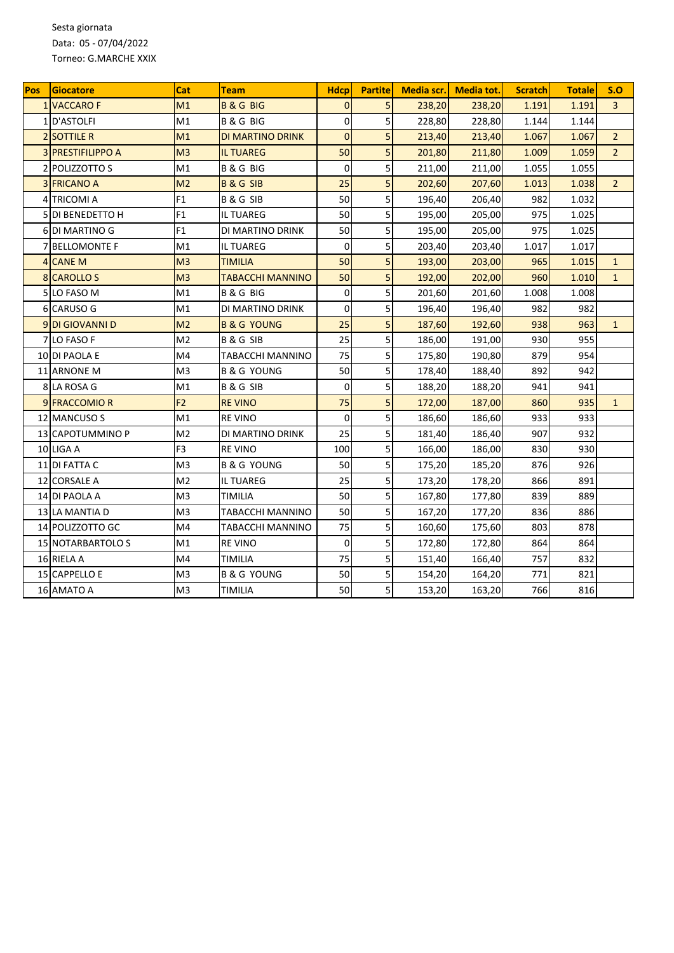Sesta giornata Data: 05 - 07/04/2022 Torneo: G.MARCHE XXIX

| <b>Pos</b> | Giocatore                | Cat            | Team                    | <b>Hdcp</b>    | <b>Partite</b> | Media scr. | <b>Media tot.</b> | <b>Scratch</b> | <b>Totale</b> | S.O            |
|------------|--------------------------|----------------|-------------------------|----------------|----------------|------------|-------------------|----------------|---------------|----------------|
|            | <b>1 VACCARO F</b>       | M1             | <b>B&amp;GBIG</b>       | $\Omega$       | 5              | 238,20     | 238,20            | 1.191          | 1.191         | $\overline{3}$ |
|            | 1D'ASTOLFI               | M1             | <b>B&amp;GBIG</b>       | 0              | 5              | 228,80     | 228,80            | 1.144          | 1.144         |                |
|            | <b>2 SOTTILE R</b>       | M1             | DI MARTINO DRINK        | $\overline{0}$ | 5              | 213,40     | 213,40            | 1.067          | 1.067         | $\overline{2}$ |
|            | <b>3 PRESTIFILIPPO A</b> | M <sub>3</sub> | <b>IL TUAREG</b>        | 50             | 5              | 201,80     | 211,80            | 1.009          | 1.059         | $\overline{2}$ |
|            | 2 POLIZZOTTO S           | M1             | <b>B&amp;GBIG</b>       | $\mathbf 0$    | 5              | 211,00     | 211,00            | 1.055          | 1.055         |                |
|            | <b>3 FRICANO A</b>       | M <sub>2</sub> | <b>B&amp;GSIB</b>       | 25             | 5              | 202,60     | 207,60            | 1.013          | 1.038         | $\overline{2}$ |
| 4          | <b>TRICOMI A</b>         | F1             | <b>B&amp;GSIB</b>       | 50             | 5              | 196,40     | 206,40            | 982            | 1.032         |                |
| 5          | <b>DI BENEDETTO H</b>    | F <sub>1</sub> | IL TUAREG               | 50             | 5              | 195,00     | 205,00            | 975            | 1.025         |                |
|            | 6 DI MARTINO G           | F1             | DI MARTINO DRINK        | 50             | 5              | 195,00     | 205,00            | 975            | 1.025         |                |
|            | 7 BELLOMONTE F           | M1             | IL TUAREG               | $\mathbf 0$    | 5              | 203,40     | 203,40            | 1.017          | 1.017         |                |
|            | 4 CANE M                 | M <sub>3</sub> | TIMILIA                 | 50             | 5              | 193,00     | 203,00            | 965            | 1.015         | $\mathbf{1}$   |
|            | <b>8 CAROLLO S</b>       | M <sub>3</sub> | <b>TABACCHI MANNINO</b> | 50             | 5              | 192,00     | 202,00            | 960            | 1.010         | $\mathbf{1}$   |
|            | 5 LO FASO M              | M1             | <b>B&amp;GBIG</b>       | $\mathbf 0$    | 5              | 201,60     | 201,60            | 1.008          | 1.008         |                |
|            | 6 CARUSO G               | M1             | DI MARTINO DRINK        | $\Omega$       | 5              | 196,40     | 196,40            | 982            | 982           |                |
|            | <b>9DI GIOVANNI D</b>    | M <sub>2</sub> | <b>B &amp; G YOUNG</b>  | 25             | 5              | 187,60     | 192,60            | 938            | 963           | $\mathbf{1}$   |
|            | <b>7 LO FASO F</b>       | M <sub>2</sub> | <b>B&amp;GSIB</b>       | 25             | 5              | 186,00     | 191,00            | 930            | 955           |                |
|            | 10 DI PAOLA E            | M4             | TABACCHI MANNINO        | 75             | 5              | 175,80     | 190,80            | 879            | 954           |                |
|            | 11 ARNONE M              | M <sub>3</sub> | <b>B &amp; G YOUNG</b>  | 50             | 5              | 178,40     | 188,40            | 892            | 942           |                |
|            | 8 LA ROSA G              | M1             | <b>B&amp;GSIB</b>       | $\mathbf 0$    | 5              | 188,20     | 188,20            | 941            | 941           |                |
|            | 9 FRACCOMIO R            | F <sub>2</sub> | <b>REVINO</b>           | 75             | 5              | 172,00     | 187,00            | 860            | 935           | $\mathbf{1}$   |
|            | 12 MANCUSO S             | M1             | <b>RE VINO</b>          | $\overline{0}$ | 5              | 186,60     | 186,60            | 933            | 933           |                |
|            | 13 CAPOTUMMINO P         | M <sub>2</sub> | DI MARTINO DRINK        | 25             | 5              | 181,40     | 186,40            | 907            | 932           |                |
|            | 10 LIGA A                | F <sub>3</sub> | <b>RE VINO</b>          | 100            | 5              | 166,00     | 186,00            | 830            | 930           |                |
|            | 11 DI FATTA C            | M <sub>3</sub> | B & G YOUNG             | 50             | 5              | 175,20     | 185,20            | 876            | 926           |                |
|            | 12 CORSALE A             | M <sub>2</sub> | <b>IL TUAREG</b>        | 25             | 5              | 173,20     | 178,20            | 866            | 891           |                |
|            | 14 DI PAOLA A            | M <sub>3</sub> | TIMILIA                 | 50             | 5              | 167,80     | 177,80            | 839            | 889           |                |
|            | 13 LA MANTIA D           | M <sub>3</sub> | TABACCHI MANNINO        | 50             | 5              | 167,20     | 177,20            | 836            | 886           |                |
|            | 14 POLIZZOTTO GC         | M4             | TABACCHI MANNINO        | 75             | 5              | 160,60     | 175,60            | 803            | 878           |                |
|            | <b>15 NOTARBARTOLO S</b> | M1             | <b>RE VINO</b>          | $\mathbf 0$    | 5              | 172,80     | 172,80            | 864            | 864           |                |
|            | 16 RIELA A               | M4             | TIMILIA                 | 75             | 5              | 151,40     | 166,40            | 757            | 832           |                |
|            | 15 CAPPELLO E            | M3             | <b>B &amp; G YOUNG</b>  | 50             | 5              | 154,20     | 164,20            | 771            | 821           |                |
|            | 16 AMATO A               | M3             | TIMILIA                 | 50             | 5              | 153,20     | 163,20            | 766            | 816           |                |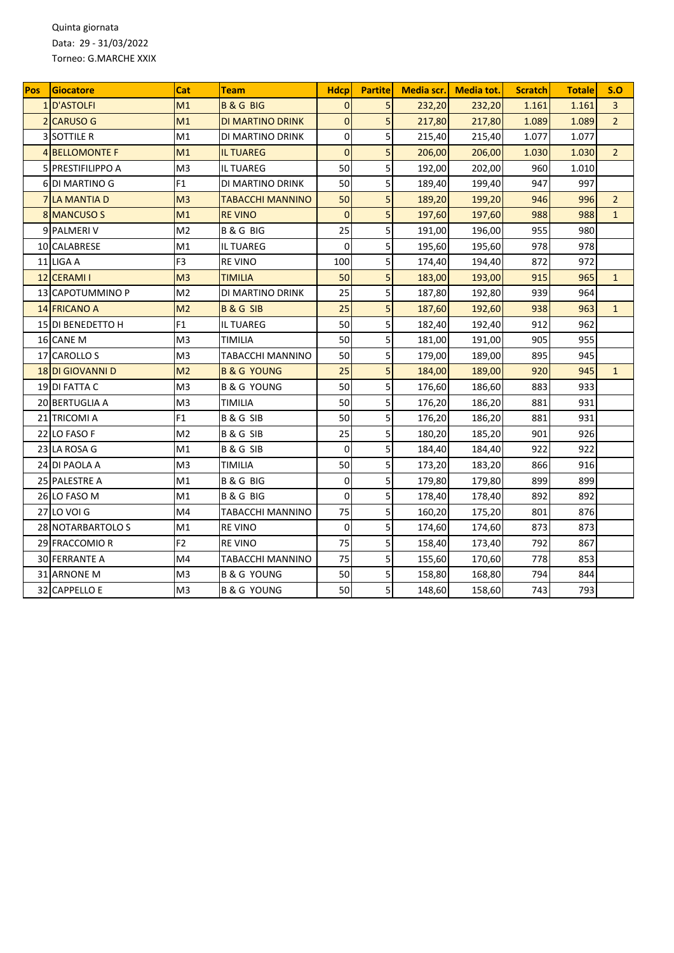Quinta giornata Data: 29 - 31/03/2022 Torneo: G.MARCHE XXIX

| Pos | Giocatore                 | Cat            | Team                    | <b>Hdcp</b>    | <b>Partite</b> | Media scr. | <b>Media tot.</b> | <b>Scratch</b> | <b>Totale</b> | S.O            |
|-----|---------------------------|----------------|-------------------------|----------------|----------------|------------|-------------------|----------------|---------------|----------------|
|     | 1 D'ASTOLFI               | M1             | <b>B&amp;GBIG</b>       | $\Omega$       | 5              | 232,20     | 232,20            | 1.161          | 1.161         | $\overline{3}$ |
|     | 2 CARUSO G                | M1             | DI MARTINO DRINK        | $\overline{0}$ | 5              | 217,80     | 217,80            | 1.089          | 1.089         | $\overline{2}$ |
|     | <b>3 SOTTILE R</b>        | M1             | DI MARTINO DRINK        | $\mathbf 0$    | 5              | 215,40     | 215,40            | 1.077          | 1.077         |                |
|     | <b>4 BELLOMONTE F</b>     | M1             | <b>IL TUAREG</b>        | $\overline{0}$ | 5              | 206,00     | 206,00            | 1.030          | 1.030         | $\overline{2}$ |
|     | <b>5 IPRESTIFILIPPO A</b> | M <sub>3</sub> | <b>IL TUAREG</b>        | 50             | 5              | 192,00     | 202,00            | 960            | 1.010         |                |
|     | 6 DI MARTINO G            | F <sub>1</sub> | DI MARTINO DRINK        | 50             | 5              | 189,40     | 199,40            | 947            | 997           |                |
|     | <b>7 LA MANTIA D</b>      | M <sub>3</sub> | TABACCHI MANNINO        | 50             | 5              | 189,20     | 199,20            | 946            | 996           | $\overline{2}$ |
|     | 8 MANCUSO S               | M1             | <b>RE VINO</b>          | $\Omega$       | 5              | 197,60     | 197,60            | 988            | 988           | $\mathbf{1}$   |
|     | 9 PALMERI V               | M <sub>2</sub> | <b>B&amp;GBIG</b>       | 25             | 5              | 191,00     | 196,00            | 955            | 980           |                |
|     | 10 CALABRESE              | M1             | <b>IL TUAREG</b>        | $\Omega$       | 5              | 195,60     | 195,60            | 978            | 978           |                |
|     | 11 LIGA A                 | F <sub>3</sub> | <b>REVINO</b>           | 100            | 5              | 174,40     | 194,40            | 872            | 972           |                |
|     | 12 CERAMI I               | M <sub>3</sub> | <b>TIMILIA</b>          | 50             | 5              | 183,00     | 193,00            | 915            | 965           | $\mathbf{1}$   |
|     | 13 CAPOTUMMINO P          | M <sub>2</sub> | DI MARTINO DRINK        | 25             | 5              | 187,80     | 192,80            | 939            | 964           |                |
|     | <b>14 FRICANO A</b>       | M <sub>2</sub> | <b>B&amp;GSIB</b>       | 25             | 5              | 187,60     | 192,60            | 938            | 963           | $\mathbf{1}$   |
|     | 15 DI BENEDETTO H         | F1             | IL TUAREG               | 50             | 5              | 182,40     | 192,40            | 912            | 962           |                |
|     | 16 CANE M                 | M3             | TIMILIA                 | 50             | 5              | 181,00     | 191,00            | 905            | 955           |                |
|     | 17 CAROLLO S              | M3             | TABACCHI MANNINO        | 50             | 5              | 179,00     | 189,00            | 895            | 945           |                |
|     | <b>18DI GIOVANNI D</b>    | M <sub>2</sub> | <b>B &amp; G YOUNG</b>  | 25             | 5              | 184,00     | 189,00            | 920            | 945           | $\mathbf{1}$   |
|     | 19 DI FATTA C             | M <sub>3</sub> | B & G YOUNG             | 50             | 5              | 176,60     | 186,60            | 883            | 933           |                |
|     | 20 BERTUGLIA A            | M3             | TIMILIA                 | 50             | 5              | 176,20     | 186,20            | 881            | 931           |                |
|     | 21 TRICOMI A              | F1             | <b>B&amp;GSIB</b>       | 50             | 5              | 176,20     | 186,20            | 881            | 931           |                |
|     | 22 LO FASO F              | M <sub>2</sub> | <b>B&amp;GSIB</b>       | 25             | 5              | 180,20     | 185,20            | 901            | 926           |                |
|     | 23 LA ROSA G              | M1             | <b>B&amp;GSIB</b>       | $\mathbf 0$    | 5              | 184,40     | 184,40            | 922            | 922           |                |
|     | 24 DI PAOLA A             | M3             | TIMILIA                 | 50             | 5              | 173,20     | 183,20            | 866            | 916           |                |
|     | 25 PALESTRE A             | M1             | <b>B&amp;GBIG</b>       | $\mathbf 0$    | 5              | 179,80     | 179,80            | 899            | 899           |                |
|     | 26 LO FASO M              | M1             | <b>B&amp;GBIG</b>       | $\mathbf 0$    | 5              | 178,40     | 178,40            | 892            | 892           |                |
|     | <b>27 LO VOI G</b>        | M4             | <b>TABACCHI MANNINO</b> | 75             | 5              | 160,20     | 175,20            | 801            | 876           |                |
|     | 28 NOTARBARTOLO S         | M1             | <b>RE VINO</b>          | $\mathbf 0$    | 5              | 174,60     | 174,60            | 873            | 873           |                |
|     | 29 FRACCOMIO R            | F <sub>2</sub> | <b>RE VINO</b>          | 75             | 5              | 158,40     | 173,40            | 792            | 867           |                |
|     | <b>30 FERRANTE A</b>      | M4             | TABACCHI MANNINO        | 75             | 5              | 155,60     | 170,60            | 778            | 853           |                |
|     | 31 ARNONE M               | M <sub>3</sub> | <b>B &amp; G YOUNG</b>  | 50             | 5              | 158,80     | 168,80            | 794            | 844           |                |
|     | 32 CAPPELLO E             | M <sub>3</sub> | <b>B &amp; G YOUNG</b>  | 50             | 5              | 148,60     | 158,60            | 743            | 793           |                |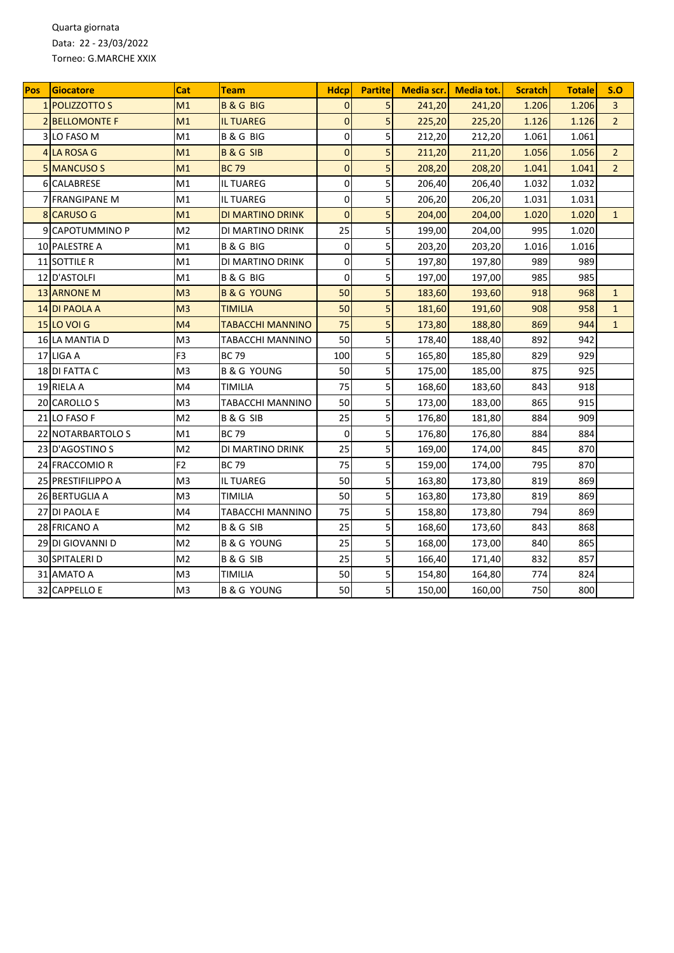Quarta giornata Data: 22 - 23/03/2022 Torneo: G.MARCHE XXIX

| Pos | Giocatore             | Cat            | Team                    | <b>Hdcp</b>    | <b>Partite</b> | Media scr. | <b>Media tot.</b> | <b>Scratch</b> | <b>Totale</b> | S.O            |
|-----|-----------------------|----------------|-------------------------|----------------|----------------|------------|-------------------|----------------|---------------|----------------|
|     | 1 POLIZZOTTO S        | M1             | <b>B&amp;GBIG</b>       | $\Omega$       | 5              | 241,20     | 241,20            | 1.206          | 1.206         | $\overline{3}$ |
|     | <b>2 BELLOMONTE F</b> | M1             | <b>IL TUAREG</b>        | $\Omega$       | 5              | 225,20     | 225,20            | 1.126          | 1.126         | $\overline{2}$ |
| 3   | LO FASO M             | M1             | <b>B&amp;GBIG</b>       | 0              | 5              | 212,20     | 212,20            | 1.061          | 1.061         |                |
|     | 4 LA ROSA G           | M1             | <b>B&amp;GSIB</b>       | $\overline{0}$ | 5              | 211,20     | 211,20            | 1.056          | 1.056         | $\overline{2}$ |
|     | 5 MANCUSO S           | M1             | <b>BC 79</b>            | $\overline{0}$ | 5              | 208,20     | 208,20            | 1.041          | 1.041         | $\overline{2}$ |
|     | 6 CALABRESE           | M1             | <b>IL TUAREG</b>        | $\mathbf 0$    | 5              | 206,40     | 206,40            | 1.032          | 1.032         |                |
|     | 7 FRANGIPANE M        | M1             | <b>IL TUAREG</b>        | 0              | 5              | 206,20     | 206,20            | 1.031          | 1.031         |                |
|     | 8 CARUSO G            | M1             | DI MARTINO DRINK        | $\Omega$       | 5              | 204,00     | 204,00            | 1.020          | 1.020         | $\mathbf{1}$   |
|     | 9 CAPOTUMMINO P       | M <sub>2</sub> | DI MARTINO DRINK        | 25             | 5              | 199,00     | 204,00            | 995            | 1.020         |                |
|     | 10 PALESTRE A         | M1             | <b>B&amp;GBIG</b>       | $\Omega$       | 5              | 203,20     | 203,20            | 1.016          | 1.016         |                |
|     | 11 SOTTILE R          | M1             | DI MARTINO DRINK        | 0              | 5              | 197,80     | 197,80            | 989            | 989           |                |
|     | 12 D'ASTOLFI          | M1             | <b>B&amp;GBIG</b>       | $\mathbf 0$    | 5              | 197,00     | 197,00            | 985            | 985           |                |
|     | <b>13 ARNONE M</b>    | M <sub>3</sub> | <b>B &amp; G YOUNG</b>  | 50             | 5              | 183,60     | 193,60            | 918            | 968           | $\mathbf{1}$   |
|     | 14 DI PAOLA A         | M <sub>3</sub> | <b>TIMILIA</b>          | 50             | 5              | 181,60     | 191,60            | 908            | 958           | $\mathbf{1}$   |
|     | <b>15 LO VOI G</b>    | M4             | <b>TABACCHI MANNINO</b> | 75             | 5              | 173,80     | 188,80            | 869            | 944           | $\mathbf{1}$   |
|     | 16 LA MANTIA D        | M3             | TABACCHI MANNINO        | 50             | 5              | 178,40     | 188,40            | 892            | 942           |                |
|     | 17 LIGA A             | F <sub>3</sub> | <b>BC79</b>             | 100            | 5              | 165,80     | 185,80            | 829            | 929           |                |
|     | 18 DI FATTA C         | M <sub>3</sub> | <b>B &amp; G YOUNG</b>  | 50             | 5              | 175,00     | 185,00            | 875            | 925           |                |
|     | 19 RIELA A            | M4             | TIMILIA                 | 75             | 5              | 168,60     | 183,60            | 843            | 918           |                |
|     | 20 CAROLLO S          | M <sub>3</sub> | TABACCHI MANNINO        | 50             | 5              | 173,00     | 183,00            | 865            | 915           |                |
|     | 21 LO FASO F          | M <sub>2</sub> | <b>B&amp;GSIB</b>       | 25             | 5              | 176,80     | 181,80            | 884            | 909           |                |
|     | 22 NOTARBARTOLO S     | M1             | <b>BC79</b>             | $\mathbf 0$    | 5              | 176,80     | 176,80            | 884            | 884           |                |
|     | 23 D'AGOSTINO S       | M <sub>2</sub> | DI MARTINO DRINK        | 25             | 5              | 169,00     | 174,00            | 845            | 870           |                |
|     | 24 FRACCOMIO R        | F <sub>2</sub> | <b>BC79</b>             | 75             | 5              | 159,00     | 174,00            | 795            | 870           |                |
|     | 25 PRESTIFILIPPO A    | M <sub>3</sub> | <b>IL TUAREG</b>        | 50             | 5              | 163,80     | 173,80            | 819            | 869           |                |
|     | 26 BERTUGLIA A        | M <sub>3</sub> | TIMILIA                 | 50             | 5              | 163,80     | 173,80            | 819            | 869           |                |
|     | 27 DI PAOLA E         | M4             | TABACCHI MANNINO        | 75             | 5              | 158,80     | 173,80            | 794            | 869           |                |
|     | 28 FRICANO A          | M <sub>2</sub> | <b>B&amp;GSIB</b>       | 25             | 5              | 168,60     | 173,60            | 843            | 868           |                |
|     | 29 DI GIOVANNI D      | M <sub>2</sub> | <b>B &amp; G YOUNG</b>  | 25             | 5              | 168,00     | 173,00            | 840            | 865           |                |
|     | 30 SPITALERI D        | M <sub>2</sub> | <b>B&amp;GSIB</b>       | 25             | 5              | 166,40     | 171,40            | 832            | 857           |                |
|     | 31 AMATO A            | M <sub>3</sub> | TIMILIA                 | 50             | 5              | 154,80     | 164,80            | 774            | 824           |                |
|     | 32 CAPPELLO E         | M3             | <b>B &amp; G YOUNG</b>  | 50             | 5              | 150,00     | 160,00            | 750            | 800           |                |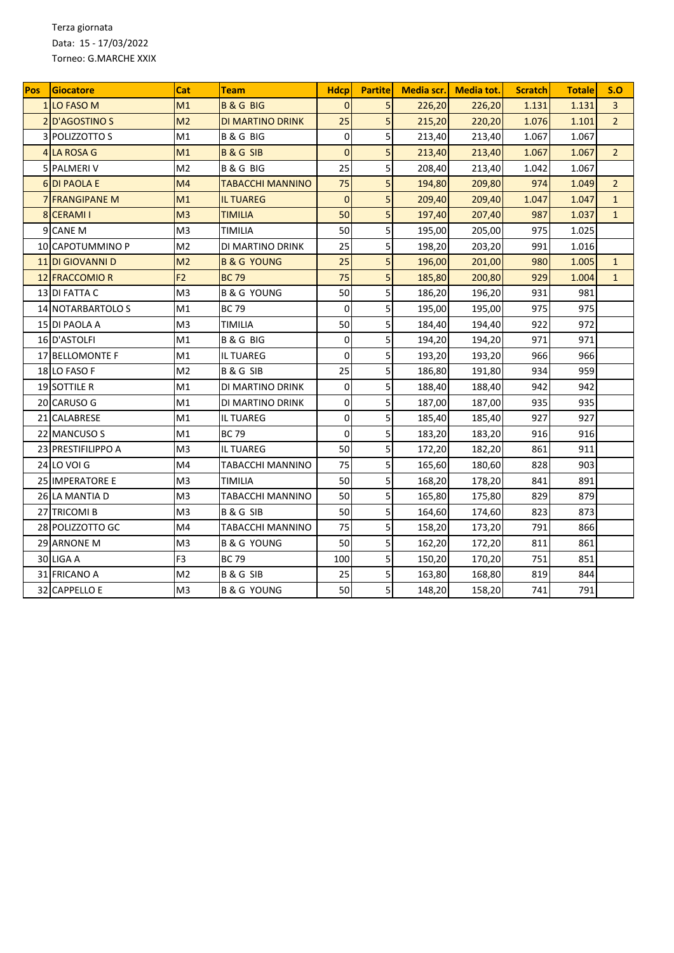Terza giornata Data: 15 - 17/03/2022 Torneo: G.MARCHE XXIX

| <b>Pos</b> | Giocatore                 | Cat            | Team                    | <b>Hdcp</b>    | <b>Partite</b> | Media scr. | <b>Media tot.</b> | <b>Scratch</b> | <b>Totale</b> | S.O            |
|------------|---------------------------|----------------|-------------------------|----------------|----------------|------------|-------------------|----------------|---------------|----------------|
|            | <b>1ILO FASO M</b>        | M1             | <b>B&amp;GBIG</b>       | $\Omega$       | 5              | 226,20     | 226,20            | 1.131          | 1.131         | $\overline{3}$ |
|            | <b>2D'AGOSTINO S</b>      | M <sub>2</sub> | DI MARTINO DRINK        | 25             | 5              | 215,20     | 220,20            | 1.076          | 1.101         | $\overline{2}$ |
| 3          | POLIZZOTTO S              | M1             | <b>B&amp;GBIG</b>       | $\mathbf 0$    | 5              | 213,40     | 213,40            | 1.067          | 1.067         |                |
|            | 4 LA ROSA G               | M1             | <b>B&amp;GSIB</b>       | $\overline{0}$ | 5              | 213,40     | 213,40            | 1.067          | 1.067         | $\overline{2}$ |
|            | <b>5 PALMERIV</b>         | M <sub>2</sub> | <b>B&amp;GBIG</b>       | 25             | 5              | 208,40     | 213,40            | 1.042          | 1.067         |                |
|            | <b>6DI PAOLA E</b>        | M4             | <b>TABACCHI MANNINO</b> | 75             | 5              | 194,80     | 209,80            | 974            | 1.049         | $\overline{2}$ |
|            | 7 FRANGIPANE M            | M1             | <b>IL TUAREG</b>        | $\overline{0}$ | 5              | 209,40     | 209,40            | 1.047          | 1.047         | $\mathbf{1}$   |
|            | 8 CERAMI I                | M <sub>3</sub> | <b>TIMILIA</b>          | 50             | 5              | 197,40     | 207,40            | 987            | 1.037         | $\mathbf{1}$   |
|            | 9 CANE M                  | M <sub>3</sub> | TIMILIA                 | 50             | 5              | 195,00     | 205,00            | 975            | 1.025         |                |
|            | 10 CAPOTUMMINO P          | M <sub>2</sub> | DI MARTINO DRINK        | 25             | 5              | 198,20     | 203,20            | 991            | 1.016         |                |
|            | <b>11 DI GIOVANNI D</b>   | M <sub>2</sub> | <b>B &amp; G YOUNG</b>  | 25             | 5              | 196,00     | 201,00            | 980            | 1.005         | $\mathbf{1}$   |
|            | 12 FRACCOMIO R            | F <sub>2</sub> | <b>BC 79</b>            | 75             | 5              | 185,80     | 200,80            | 929            | 1.004         | $\mathbf{1}$   |
|            | 13 DI FATTA C             | M <sub>3</sub> | <b>B &amp; G YOUNG</b>  | 50             | 5              | 186,20     | 196,20            | 931            | 981           |                |
|            | <b>14 INOTARBARTOLO S</b> | M1             | <b>BC79</b>             | $\Omega$       | 5              | 195,00     | 195,00            | 975            | 975           |                |
|            | 15 DI PAOLA A             | M <sub>3</sub> | TIMILIA                 | 50             | 5              | 184,40     | 194,40            | 922            | 972           |                |
|            | 16 D'ASTOLFI              | M1             | <b>B&amp;GBIG</b>       | 0              | 5              | 194,20     | 194,20            | 971            | 971           |                |
|            | 17 BELLOMONTE F           | M1             | IL TUAREG               | $\Omega$       | 5              | 193,20     | 193,20            | 966            | 966           |                |
|            | 18 LO FASO F              | M <sub>2</sub> | <b>B&amp;GSIB</b>       | 25             | 5              | 186,80     | 191,80            | 934            | 959           |                |
|            | <b>19 SOTTILE R</b>       | M1             | DI MARTINO DRINK        | $\mathbf 0$    | 5              | 188,40     | 188,40            | 942            | 942           |                |
|            | 20 CARUSO G               | M1             | DI MARTINO DRINK        | 0              | 5              | 187,00     | 187,00            | 935            | 935           |                |
|            | 21 CALABRESE              | M1             | IL TUAREG               | 0              | 5              | 185,40     | 185,40            | 927            | 927           |                |
|            | 22 MANCUSO S              | M1             | <b>BC79</b>             | $\overline{0}$ | 5              | 183,20     | 183,20            | 916            | 916           |                |
|            | 23 PRESTIFILIPPO A        | M <sub>3</sub> | <b>IL TUAREG</b>        | 50             | 5              | 172,20     | 182,20            | 861            | 911           |                |
|            | 24 LO VOI G               | M4             | TABACCHI MANNINO        | 75             | 5              | 165,60     | 180,60            | 828            | 903           |                |
|            | <b>25 IMPERATORE E</b>    | M <sub>3</sub> | TIMILIA                 | 50             | 5              | 168,20     | 178,20            | 841            | 891           |                |
|            | 26 LA MANTIA D            | M <sub>3</sub> | TABACCHI MANNINO        | 50             | 5              | 165,80     | 175,80            | 829            | 879           |                |
|            | 27 TRICOMI B              | M <sub>3</sub> | B & G SIB               | 50             | 5              | 164,60     | 174,60            | 823            | 873           |                |
|            | 28 POLIZZOTTO GC          | M4             | TABACCHI MANNINO        | 75             | 5              | 158,20     | 173,20            | 791            | 866           |                |
|            | 29 ARNONE M               | M3             | B & G YOUNG             | 50             | 5              | 162,20     | 172,20            | 811            | 861           |                |
|            | 30 LIGA A                 | F <sub>3</sub> | <b>BC79</b>             | 100            | 5              | 150,20     | 170,20            | 751            | 851           |                |
|            | 31 FRICANO A              | M <sub>2</sub> | <b>B&amp;GSIB</b>       | 25             | 5              | 163,80     | 168,80            | 819            | 844           |                |
|            | 32 CAPPELLO E             | M3             | B & G YOUNG             | 50             | 5              | 148,20     | 158,20            | 741            | 791           |                |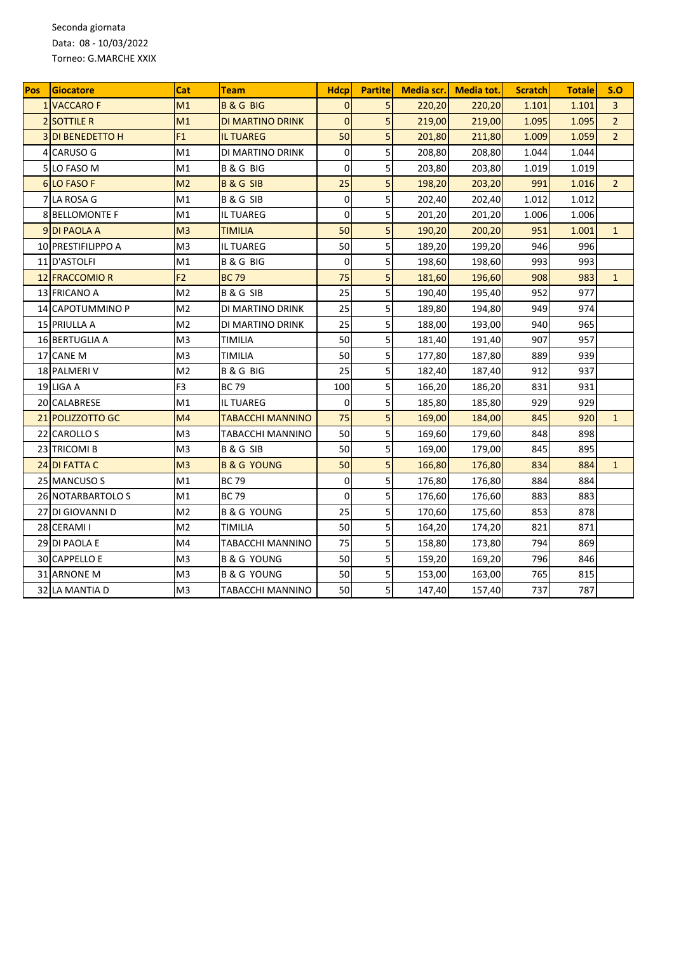Seconda giornata Data: 08 - 10/03/2022 Torneo: G.MARCHE XXIX

| <b>Pos</b> | Giocatore             | Cat            | Team                    | <b>Hdcp</b>    | <b>Partite</b> | Media scr. | <b>Media tot.</b> | <b>Scratch</b> | <b>Totale</b> | S.O            |
|------------|-----------------------|----------------|-------------------------|----------------|----------------|------------|-------------------|----------------|---------------|----------------|
|            | <b>1 VACCARO F</b>    | M1             | <b>B&amp;GBIG</b>       | $\Omega$       | 5              | 220,20     | 220,20            | 1.101          | 1.101         | $\overline{3}$ |
|            | <b>2 SOTTILE R</b>    | M1             | DI MARTINO DRINK        | $\overline{0}$ | 5              | 219,00     | 219,00            | 1.095          | 1.095         | $\overline{2}$ |
| 3          | <b>DI BENEDETTO H</b> | F1             | <b>IL TUAREG</b>        | 50             | 5              | 201,80     | 211,80            | 1.009          | 1.059         | $\overline{2}$ |
|            | 4 CARUSO G            | M1             | DI MARTINO DRINK        | $\mathbf 0$    | 5              | 208,80     | 208,80            | 1.044          | 1.044         |                |
|            | 5 LO FASO M           | M1             | <b>B&amp;GBIG</b>       | $\mathbf 0$    | 5              | 203,80     | 203,80            | 1.019          | 1.019         |                |
|            | 6 LO FASO F           | M <sub>2</sub> | <b>B&amp;GSIB</b>       | 25             | 5              | 198,20     | 203,20            | 991            | 1.016         | $\overline{2}$ |
|            | 7 LA ROSA G           | M1             | <b>B&amp;GSIB</b>       | $\mathbf 0$    | 5              | 202,40     | 202,40            | 1.012          | 1.012         |                |
|            | 8 BELLOMONTE F        | M1             | <b>IL TUAREG</b>        | $\overline{0}$ | 5              | 201,20     | 201,20            | 1.006          | 1.006         |                |
|            | 9 DI PAOLA A          | M <sub>3</sub> | <b>TIMILIA</b>          | 50             | 5              | 190,20     | 200,20            | 951            | 1.001         | $\mathbf{1}$   |
|            | 10 PRESTIFILIPPO A    | M <sub>3</sub> | <b>IL TUAREG</b>        | 50             | 5              | 189,20     | 199,20            | 946            | 996           |                |
|            | 11 D'ASTOLFI          | M1             | <b>B&amp;GBIG</b>       | 0              | 5              | 198,60     | 198,60            | 993            | 993           |                |
|            | 12 FRACCOMIO R        | F <sub>2</sub> | <b>BC79</b>             | 75             | 5              | 181,60     | 196,60            | 908            | 983           | $\mathbf{1}$   |
|            | 13 FRICANO A          | M <sub>2</sub> | <b>B&amp;GSIB</b>       | 25             | 5              | 190,40     | 195,40            | 952            | 977           |                |
|            | 14 CAPOTUMMINO P      | M <sub>2</sub> | DI MARTINO DRINK        | 25             | 5              | 189,80     | 194,80            | 949            | 974           |                |
|            | <b>15 PRIULLA A</b>   | M <sub>2</sub> | DI MARTINO DRINK        | 25             | 5              | 188,00     | 193,00            | 940            | 965           |                |
|            | 16 BERTUGLIA A        | M3             | TIMILIA                 | 50             | 5              | 181,40     | 191,40            | 907            | 957           |                |
|            | 17 CANE M             | M <sub>3</sub> | TIMILIA                 | 50             | 5              | 177,80     | 187,80            | 889            | 939           |                |
|            | <b>18 PALMERIV</b>    | M <sub>2</sub> | <b>B &amp; G BIG</b>    | 25             | 5              | 182,40     | 187,40            | 912            | 937           |                |
|            | 19 LIGA A             | F <sub>3</sub> | <b>BC79</b>             | 100            | 5              | 166,20     | 186,20            | 831            | 931           |                |
|            | 20 CALABRESE          | M1             | <b>IL TUAREG</b>        | $\mathbf 0$    | 5              | 185,80     | 185,80            | 929            | 929           |                |
|            | 21 POLIZZOTTO GC      | M <sub>4</sub> | <b>TABACCHI MANNINO</b> | 75             | 5              | 169,00     | 184,00            | 845            | 920           | $\mathbf{1}$   |
|            | 22 CAROLLO S          | M <sub>3</sub> | TABACCHI MANNINO        | 50             | 5              | 169,60     | 179,60            | 848            | 898           |                |
|            | 23 TRICOMI B          | M <sub>3</sub> | <b>B&amp;GSIB</b>       | 50             | 5              | 169,00     | 179,00            | 845            | 895           |                |
|            | 24 DI FATTA C         | M <sub>3</sub> | <b>B &amp; G YOUNG</b>  | 50             | 5              | 166,80     | 176,80            | 834            | 884           | $\mathbf{1}$   |
|            | 25 MANCUSO S          | M1             | <b>BC79</b>             | $\overline{0}$ | 5              | 176,80     | 176,80            | 884            | 884           |                |
|            | 26 NOTARBARTOLO S     | M1             | <b>BC79</b>             | $\Omega$       | 5              | 176,60     | 176,60            | 883            | 883           |                |
|            | 27 DI GIOVANNI D      | M <sub>2</sub> | <b>B &amp; G YOUNG</b>  | 25             | 5              | 170,60     | 175,60            | 853            | 878           |                |
|            | 28 CERAMI I           | M2             | TIMILIA                 | 50             | 5              | 164,20     | 174,20            | 821            | 871           |                |
|            | <b>29 DI PAOLA E</b>  | M4             | TABACCHI MANNINO        | 75             | 5              | 158,80     | 173,80            | 794            | 869           |                |
|            | 30 CAPPELLO E         | M <sub>3</sub> | <b>B &amp; G YOUNG</b>  | 50             | 5              | 159,20     | 169,20            | 796            | 846           |                |
|            | 31 ARNONE M           | M <sub>3</sub> | B & G YOUNG             | 50             | 5              | 153,00     | 163,00            | 765            | 815           |                |
|            | 32 LA MANTIA D        | M3             | TABACCHI MANNINO        | 50             | 5              | 147,40     | 157,40            | 737            | 787           |                |